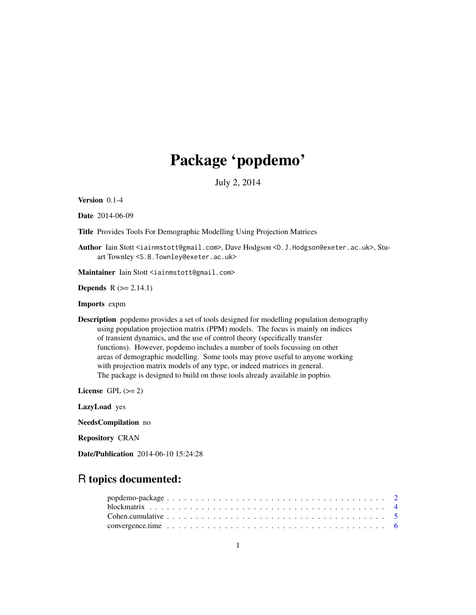# Package 'popdemo'

July 2, 2014

<span id="page-0-0"></span>Version 0.1-4

Date 2014-06-09

Title Provides Tools For Demographic Modelling Using Projection Matrices

Author Iain Stott <iainmstott@gmail.com>, Dave Hodgson <D.J.Hodgson@exeter.ac.uk>, Stuart Townley <S.B.Townley@exeter.ac.uk>

Maintainer Iain Stott <iainmstott@gmail.com>

**Depends**  $R$  ( $>= 2.14.1$ )

Imports expm

Description popdemo provides a set of tools designed for modelling population demography using population projection matrix (PPM) models. The focus is mainly on indices of transient dynamics, and the use of control theory (specifically transfer functions). However, popdemo includes a number of tools focussing on other areas of demographic modelling. Some tools may prove useful to anyone working with projection matrix models of any type, or indeed matrices in general. The package is designed to build on those tools already available in popbio.

License GPL  $(>= 2)$ 

LazyLoad yes

NeedsCompilation no

Repository CRAN

Date/Publication 2014-06-10 15:24:28

# R topics documented: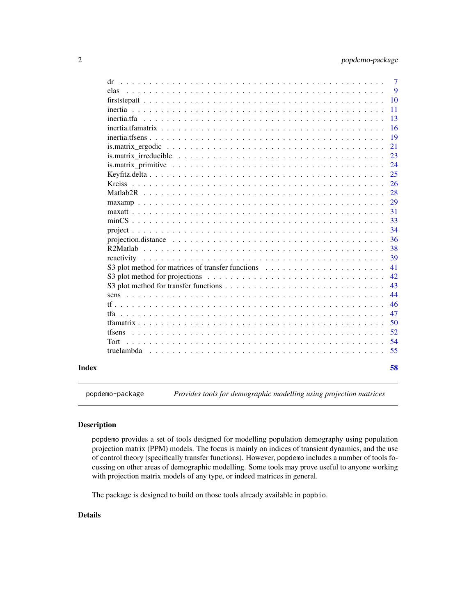<span id="page-1-0"></span>

| Index |                                                                                                                                                     | 58     |
|-------|-----------------------------------------------------------------------------------------------------------------------------------------------------|--------|
|       | truelambda                                                                                                                                          | 55     |
|       | Tort                                                                                                                                                | 54     |
|       | tfsens                                                                                                                                              | 52     |
|       |                                                                                                                                                     | 50     |
|       |                                                                                                                                                     | 47     |
|       |                                                                                                                                                     | 46     |
|       |                                                                                                                                                     | 44     |
|       |                                                                                                                                                     | 43     |
|       | S3 plot method for projections $\dots \dots \dots \dots \dots \dots \dots \dots \dots \dots \dots \dots \dots$                                      | 42     |
|       | S3 plot method for matrices of transfer functions                                                                                                   | 41     |
|       | reactivity                                                                                                                                          | 39     |
|       |                                                                                                                                                     | 38     |
|       | projection.distance $\ldots \ldots \ldots \ldots \ldots \ldots \ldots \ldots \ldots \ldots \ldots \ldots \ldots$                                    | 36     |
|       |                                                                                                                                                     | 34     |
|       |                                                                                                                                                     | 33     |
|       |                                                                                                                                                     | 31     |
|       |                                                                                                                                                     | 29     |
|       |                                                                                                                                                     | 28     |
|       | <b>Kreiss</b>                                                                                                                                       | 26     |
|       |                                                                                                                                                     | 25     |
|       |                                                                                                                                                     | 24     |
|       | is. matrix irreducible $\ldots \ldots \ldots \ldots \ldots \ldots \ldots \ldots \ldots \ldots \ldots \ldots \ldots$                                 | 23     |
|       | is matrix ergodic $\ldots$ , $\ldots$ , $\ldots$ , $\ldots$ , $\ldots$ , $\ldots$ , $\ldots$ , $\ldots$ , $\ldots$ , $\ldots$ , $\ldots$ , $\ldots$ | 21     |
|       |                                                                                                                                                     | 19     |
|       |                                                                                                                                                     | 16     |
|       |                                                                                                                                                     | 13     |
|       |                                                                                                                                                     | 11     |
|       |                                                                                                                                                     | 10     |
|       | elas                                                                                                                                                | 9      |
|       | dr                                                                                                                                                  | $\tau$ |

popdemo-package *Provides tools for demographic modelling using projection matrices*

# Description

popdemo provides a set of tools designed for modelling population demography using population projection matrix (PPM) models. The focus is mainly on indices of transient dynamics, and the use of control theory (specifically transfer functions). However, popdemo includes a number of tools focussing on other areas of demographic modelling. Some tools may prove useful to anyone working with projection matrix models of any type, or indeed matrices in general.

The package is designed to build on those tools already available in popbio.

# Details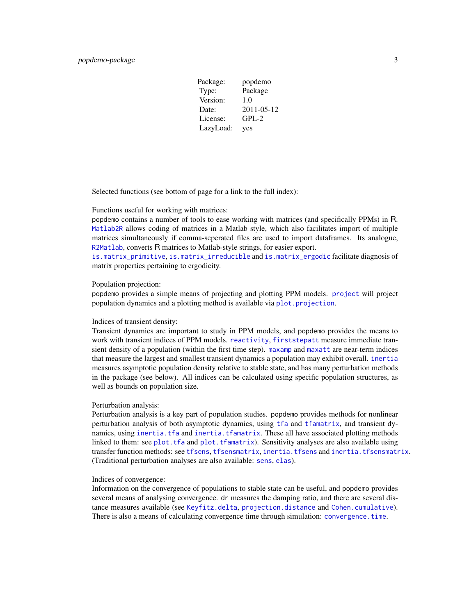<span id="page-2-0"></span>

| Package:  | popdemo    |
|-----------|------------|
| Type:     | Package    |
| Version:  | 1.0        |
| Date:     | 2011-05-12 |
| License:  | $GPL-2$    |
| LazyLoad: | yes        |

Selected functions (see bottom of page for a link to the full index):

#### Functions useful for working with matrices:

popdemo contains a number of tools to ease working with matrices (and specifically PPMs) in R. [Matlab2R](#page-27-1) allows coding of matrices in a Matlab style, which also facilitates import of multiple matrices simultaneously if comma-seperated files are used to import dataframes. Its analogue, [R2Matlab](#page-37-1), converts R matrices to Matlab-style strings, for easier export.

[is.matrix\\_primitive](#page-23-1), [is.matrix\\_irreducible](#page-22-1) and [is.matrix\\_ergodic](#page-20-1) facilitate diagnosis of matrix properties pertaining to ergodicity.

#### Population projection:

popdemo provides a simple means of projecting and plotting PPM models. [project](#page-33-1) will project population dynamics and a plotting method is available via [plot.projection](#page-0-0).

#### Indices of transient density:

Transient dynamics are important to study in PPM models, and popdemo provides the means to work with transient indices of PPM models. [reactivity](#page-38-1), [firststepatt](#page-9-1) measure immediate transient density of a population (within the first time step). [maxamp](#page-28-1) and [maxatt](#page-30-1) are near-term indices that measure the largest and smallest transient dynamics a population may exhibit overall. [inertia](#page-10-1) measures asymptotic population density relative to stable state, and has many perturbation methods in the package (see below). All indices can be calculated using specific population structures, as well as bounds on population size.

#### Perturbation analysis:

Perturbation analysis is a key part of population studies. popdemo provides methods for nonlinear perturbation analysis of both asymptotic dynamics, using [tfa](#page-46-1) and [tfamatrix](#page-49-1), and transient dynamics, using [inertia.tfa](#page-12-1) and [inertia.tfamatrix](#page-15-1). These all have associated plotting methods linked to them: see [plot.tfa](#page-0-0) and [plot.tfamatrix](#page-0-0)). Sensitivity analyses are also available using transfer function methods: see [tfsens](#page-51-1), [tfsensmatrix](#page-0-0), [inertia.tfsens](#page-18-1) and [inertia.tfsensmatrix](#page-0-0). (Traditional perturbation analyses are also available: [sens](#page-43-1), [elas](#page-8-1)).

#### Indices of convergence:

Information on the convergence of populations to stable state can be useful, and popdemo provides several means of analysing convergence. dr measures the damping ratio, and there are several distance measures available (see [Keyfitz.delta](#page-24-1), [projection.distance](#page-35-1) and [Cohen.cumulative](#page-4-1)). There is also a means of calculating convergence time through simulation: [convergence.time](#page-5-1).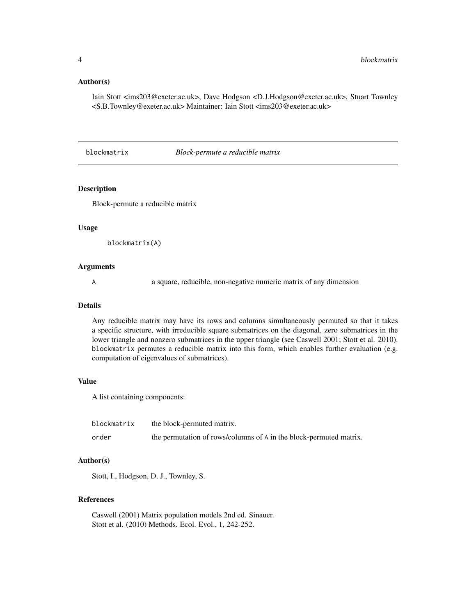#### <span id="page-3-0"></span>Author(s)

Iain Stott <ims203@exeter.ac.uk>, Dave Hodgson <D.J.Hodgson@exeter.ac.uk>, Stuart Townley <S.B.Townley@exeter.ac.uk> Maintainer: Iain Stott <ims203@exeter.ac.uk>

blockmatrix *Block-permute a reducible matrix*

# Description

Block-permute a reducible matrix

#### Usage

```
blockmatrix(A)
```
#### Arguments

A a square, reducible, non-negative numeric matrix of any dimension

#### Details

Any reducible matrix may have its rows and columns simultaneously permuted so that it takes a specific structure, with irreducible square submatrices on the diagonal, zero submatrices in the lower triangle and nonzero submatrices in the upper triangle (see Caswell 2001; Stott et al. 2010). blockmatrix permutes a reducible matrix into this form, which enables further evaluation (e.g. computation of eigenvalues of submatrices).

#### Value

A list containing components:

| blockmatrix | the block-permuted matrix.                                         |
|-------------|--------------------------------------------------------------------|
| order       | the permutation of rows/columns of A in the block-permuted matrix. |

#### Author(s)

Stott, I., Hodgson, D. J., Townley, S.

# References

Caswell (2001) Matrix population models 2nd ed. Sinauer. Stott et al. (2010) Methods. Ecol. Evol., 1, 242-252.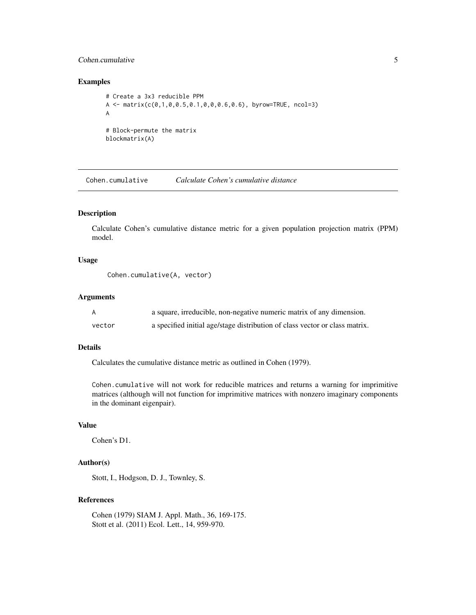# <span id="page-4-0"></span>Cohen.cumulative 5

# Examples

```
# Create a 3x3 reducible PPM
A <- matrix(c(0,1,0,0.5,0.1,0,0,0.6,0.6), byrow=TRUE, ncol=3)
A
# Block-permute the matrix
blockmatrix(A)
```
<span id="page-4-1"></span>Cohen.cumulative *Calculate Cohen's cumulative distance*

# Description

Calculate Cohen's cumulative distance metric for a given population projection matrix (PPM) model.

# Usage

Cohen.cumulative(A, vector)

#### Arguments

| A      | a square, irreducible, non-negative numeric matrix of any dimension.        |
|--------|-----------------------------------------------------------------------------|
| vector | a specified initial age/stage distribution of class vector or class matrix. |

# Details

Calculates the cumulative distance metric as outlined in Cohen (1979).

Cohen.cumulative will not work for reducible matrices and returns a warning for imprimitive matrices (although will not function for imprimitive matrices with nonzero imaginary components in the dominant eigenpair).

# Value

Cohen's D1.

# Author(s)

Stott, I., Hodgson, D. J., Townley, S.

# References

Cohen (1979) SIAM J. Appl. Math., 36, 169-175. Stott et al. (2011) Ecol. Lett., 14, 959-970.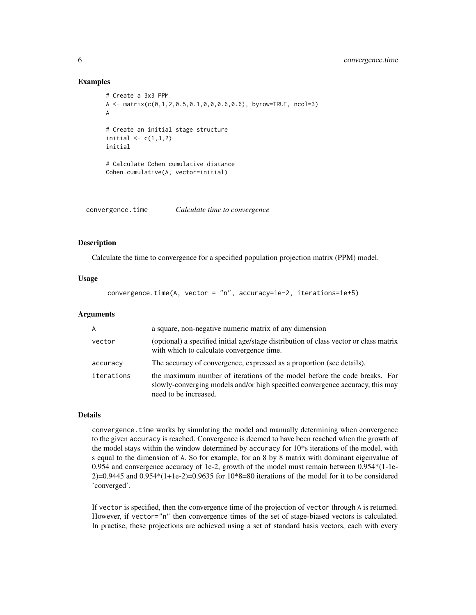#### Examples

```
# Create a 3x3 PPM
A \leq matrix(c(0,1,2,0.5,0.1,0,0,0.6,0.6), byrow=TRUE, ncol=3)
A
# Create an initial stage structure
initial \leq c(1,3,2)initial
# Calculate Cohen cumulative distance
Cohen.cumulative(A, vector=initial)
```
<span id="page-5-1"></span>convergence.time *Calculate time to convergence*

# **Description**

Calculate the time to convergence for a specified population projection matrix (PPM) model.

# Usage

```
convergence.time(A, vector = "n", accuracy=1e-2, iterations=1e+5)
```
# Arguments

| A          | a square, non-negative numeric matrix of any dimension                                                                                                                              |
|------------|-------------------------------------------------------------------------------------------------------------------------------------------------------------------------------------|
| vector     | (optional) a specified initial age/stage distribution of class vector or class matrix<br>with which to calculate convergence time.                                                  |
| accuracy   | The accuracy of convergence, expressed as a proportion (see details).                                                                                                               |
| iterations | the maximum number of iterations of the model before the code breaks. For<br>slowly-converging models and/or high specified convergence accuracy, this may<br>need to be increased. |

# Details

convergence.time works by simulating the model and manually determining when convergence to the given accuracy is reached. Convergence is deemed to have been reached when the growth of the model stays within the window determined by accuracy for 10\*s iterations of the model, with s equal to the dimension of A. So for example, for an 8 by 8 matrix with dominant eigenvalue of 0.954 and convergence accuracy of 1e-2, growth of the model must remain between 0.954\*(1-1e- $2$ )=0.9445 and 0.954\*(1+1e-2)=0.9635 for  $10*8=80$  iterations of the model for it to be considered 'converged'.

If vector is specified, then the convergence time of the projection of vector through A is returned. However, if vector="n" then convergence times of the set of stage-biased vectors is calculated. In practise, these projections are achieved using a set of standard basis vectors, each with every

<span id="page-5-0"></span>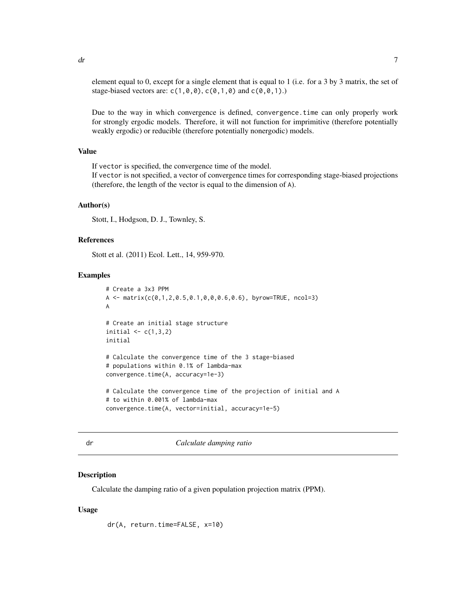<span id="page-6-0"></span>element equal to 0, except for a single element that is equal to 1 (i.e. for a 3 by 3 matrix, the set of stage-biased vectors are:  $c(1, \emptyset, \emptyset)$ ,  $c(\emptyset, 1, \emptyset)$  and  $c(\emptyset, \emptyset, 1)$ .)

Due to the way in which convergence is defined, convergence.time can only properly work for strongly ergodic models. Therefore, it will not function for imprimitive (therefore potentially weakly ergodic) or reducible (therefore potentially nonergodic) models.

#### Value

If vector is specified, the convergence time of the model.

If vector is not specified, a vector of convergence times for corresponding stage-biased projections (therefore, the length of the vector is equal to the dimension of A).

#### Author(s)

Stott, I., Hodgson, D. J., Townley, S.

#### References

Stott et al. (2011) Ecol. Lett., 14, 959-970.

#### Examples

```
# Create a 3x3 PPM
A \leq matrix(c(0,1,2,0.5,0.1,0,0,0.6,0.6), byrow=TRUE, ncol=3)
A
# Create an initial stage structure
initial \leq c(1,3,2)initial
# Calculate the convergence time of the 3 stage-biased
# populations within 0.1% of lambda-max
convergence.time(A, accuracy=1e-3)
# Calculate the convergence time of the projection of initial and A
# to within 0.001% of lambda-max
convergence.time(A, vector=initial, accuracy=1e-5)
```
dr *Calculate damping ratio*

#### **Description**

Calculate the damping ratio of a given population projection matrix (PPM).

#### Usage

dr(A, return.time=FALSE, x=10)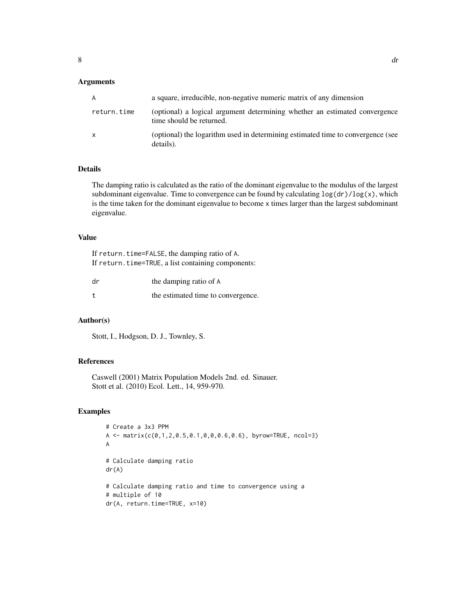# Arguments

| A           | a square, irreducible, non-negative numeric matrix of any dimension                                    |
|-------------|--------------------------------------------------------------------------------------------------------|
| return.time | (optional) a logical argument determining whether an estimated convergence<br>time should be returned. |
| x           | (optional) the logarithm used in determining estimated time to convergence (see<br>details).           |

# Details

The damping ratio is calculated as the ratio of the dominant eigenvalue to the modulus of the largest subdominant eigenvalue. Time to convergence can be found by calculating  $\log(d\mathbf{r})/\log(x)$ , which is the time taken for the dominant eigenvalue to become x times larger than the largest subdominant eigenvalue.

# Value

If return.time=FALSE, the damping ratio of A. If return.time=TRUE, a list containing components:

| dr | the damping ratio of A             |
|----|------------------------------------|
|    | the estimated time to convergence. |

# Author(s)

Stott, I., Hodgson, D. J., Townley, S.

# References

Caswell (2001) Matrix Population Models 2nd. ed. Sinauer. Stott et al. (2010) Ecol. Lett., 14, 959-970.

#### Examples

```
# Create a 3x3 PPM
A \leq -\text{matrix}(c(0,1,2,0.5,0.1,0,0,0.6,0.6), byrow=TRUE, ncol=3)A
# Calculate damping ratio
dr(A)
# Calculate damping ratio and time to convergence using a
# multiple of 10
dr(A, return.time=TRUE, x=10)
```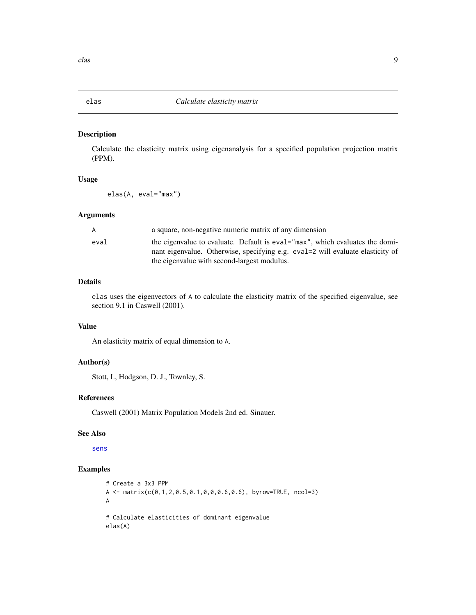# <span id="page-8-1"></span><span id="page-8-0"></span>Description

Calculate the elasticity matrix using eigenanalysis for a specified population projection matrix (PPM).

# Usage

elas(A, eval="max")

#### Arguments

| A    | a square, non-negative numeric matrix of any dimension                                                                                                           |
|------|------------------------------------------------------------------------------------------------------------------------------------------------------------------|
| eval | the eigenvalue to evaluate. Default is eval = "max", which evaluates the domi-<br>nant eigenvalue. Otherwise, specifying e.g. eval=2 will evaluate elasticity of |
|      | the eigenvalue with second-largest modulus.                                                                                                                      |

# Details

elas uses the eigenvectors of A to calculate the elasticity matrix of the specified eigenvalue, see section 9.1 in Caswell (2001).

# Value

An elasticity matrix of equal dimension to A.

# Author(s)

Stott, I., Hodgson, D. J., Townley, S.

# References

Caswell (2001) Matrix Population Models 2nd ed. Sinauer.

# See Also

[sens](#page-43-1)

# Examples

```
# Create a 3x3 PPM
A <- matrix(c(0,1,2,0.5,0.1,0,0,0.6,0.6), byrow=TRUE, ncol=3)
A
# Calculate elasticities of dominant eigenvalue
elas(A)
```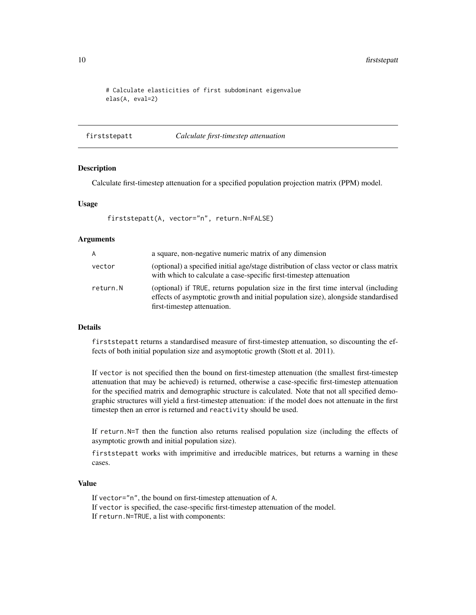<span id="page-9-0"></span>10 firststepatt and the state of the state of the state of the state of the state of the state of the state of the state of the state of the state of the state of the state of the state of the state of the state of the sta

```
# Calculate elasticities of first subdominant eigenvalue
elas(A, eval=2)
```
<span id="page-9-1"></span>firststepatt *Calculate first-timestep attenuation*

#### Description

Calculate first-timestep attenuation for a specified population projection matrix (PPM) model.

#### Usage

firststepatt(A, vector="n", return.N=FALSE)

#### Arguments

| A        | a square, non-negative numeric matrix of any dimension                                                                                                                                                |
|----------|-------------------------------------------------------------------------------------------------------------------------------------------------------------------------------------------------------|
| vector   | (optional) a specified initial age/stage distribution of class vector or class matrix<br>with which to calculate a case-specific first-timestep attenuation                                           |
| return.N | (optional) if TRUE, returns population size in the first time interval (including<br>effects of asymptotic growth and initial population size), alongside standardised<br>first-timestep attenuation. |

# Details

firststepatt returns a standardised measure of first-timestep attenuation, so discounting the effects of both initial population size and asymoptotic growth (Stott et al. 2011).

If vector is not specified then the bound on first-timestep attenuation (the smallest first-timestep attenuation that may be achieved) is returned, otherwise a case-specific first-timestep attenuation for the specified matrix and demographic structure is calculated. Note that not all specified demographic structures will yield a first-timestep attenuation: if the model does not attenuate in the first timestep then an error is returned and reactivity should be used.

If return.N=T then the function also returns realised population size (including the effects of asymptotic growth and initial population size).

firststepatt works with imprimitive and irreducible matrices, but returns a warning in these cases.

# Value

If vector="n", the bound on first-timestep attenuation of A. If vector is specified, the case-specific first-timestep attenuation of the model. If return.N=TRUE, a list with components: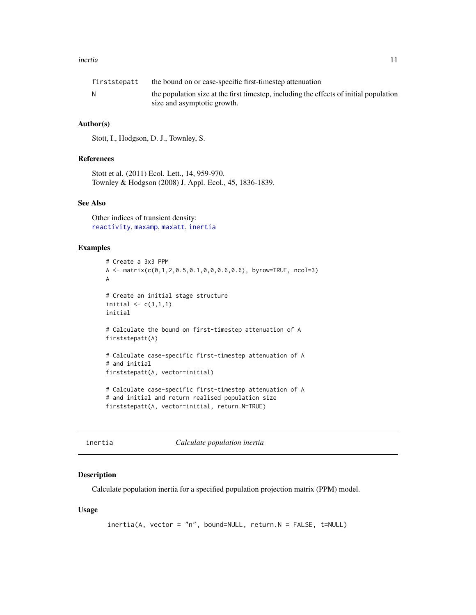#### <span id="page-10-0"></span>inertia 11

| firststepatt | the bound on or case-specific first-timestep attenuation                               |
|--------------|----------------------------------------------------------------------------------------|
|              | the population size at the first timestep, including the effects of initial population |
|              | size and asymptotic growth.                                                            |

# Author(s)

Stott, I., Hodgson, D. J., Townley, S.

# References

Stott et al. (2011) Ecol. Lett., 14, 959-970. Townley & Hodgson (2008) J. Appl. Ecol., 45, 1836-1839.

# See Also

Other indices of transient density: [reactivity](#page-38-1), [maxamp](#page-28-1), [maxatt](#page-30-1), [inertia](#page-10-1)

# Examples

```
# Create a 3x3 PPM
A <- matrix(c(0,1,2,0.5,0.1,0,0,0.6,0.6), byrow=TRUE, ncol=3)
A
# Create an initial stage structure
initial \leq c(3,1,1)initial
# Calculate the bound on first-timestep attenuation of A
firststepatt(A)
# Calculate case-specific first-timestep attenuation of A
# and initial
firststepatt(A, vector=initial)
# Calculate case-specific first-timestep attenuation of A
# and initial and return realised population size
firststepatt(A, vector=initial, return.N=TRUE)
```
<span id="page-10-1"></span>

inertia *Calculate population inertia*

#### Description

Calculate population inertia for a specified population projection matrix (PPM) model.

#### Usage

```
inertia(A, vector = "n", bound=NULL, return.N = FALSE, t=NULL)
```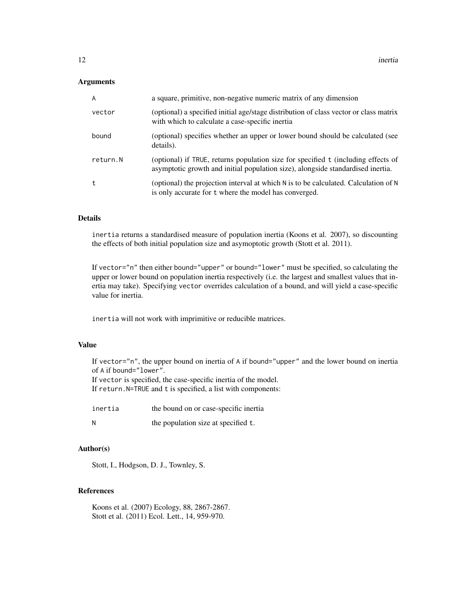# Arguments

| $\overline{A}$ | a square, primitive, non-negative numeric matrix of any dimension                                                                                                    |
|----------------|----------------------------------------------------------------------------------------------------------------------------------------------------------------------|
| vector         | (optional) a specified initial age/stage distribution of class vector or class matrix<br>with which to calculate a case-specific inertia                             |
| bound          | (optional) specifies whether an upper or lower bound should be calculated (see<br>details).                                                                          |
| return.N       | (optional) if TRUE, returns population size for specified t (including effects of<br>asymptotic growth and initial population size), alongside standardised inertia. |
| t              | (optional) the projection interval at which $N$ is to be calculated. Calculation of $N$<br>is only accurate for t where the model has converged.                     |

# Details

inertia returns a standardised measure of population inertia (Koons et al. 2007), so discounting the effects of both initial population size and asymoptotic growth (Stott et al. 2011).

If vector="n" then either bound="upper" or bound="lower" must be specified, so calculating the upper or lower bound on population inertia respectively (i.e. the largest and smallest values that inertia may take). Specifying vector overrides calculation of a bound, and will yield a case-specific value for inertia.

inertia will not work with imprimitive or reducible matrices.

#### Value

If vector="n", the upper bound on inertia of A if bound="upper" and the lower bound on inertia of A if bound="lower".

If vector is specified, the case-specific inertia of the model.

If return.N=TRUE and t is specified, a list with components:

| inertia | the bound on or case-specific inertia |
|---------|---------------------------------------|
| N       | the population size at specified t.   |

#### Author(s)

Stott, I., Hodgson, D. J., Townley, S.

# References

Koons et al. (2007) Ecology, 88, 2867-2867. Stott et al. (2011) Ecol. Lett., 14, 959-970.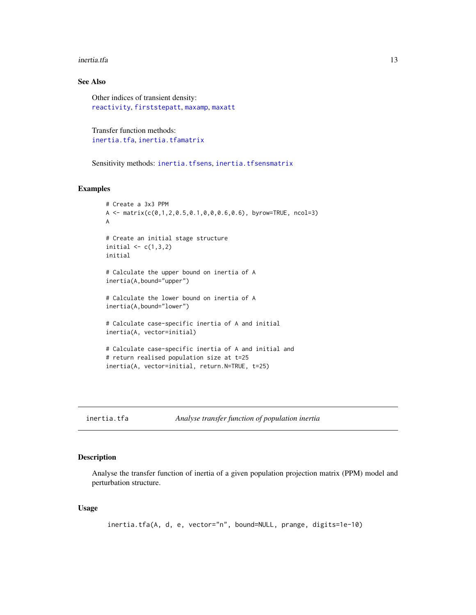#### <span id="page-12-0"></span>inertia.tfa 13

# See Also

Other indices of transient density: [reactivity](#page-38-1), [firststepatt](#page-9-1), [maxamp](#page-28-1), [maxatt](#page-30-1)

Transfer function methods: [inertia.tfa](#page-12-1), [inertia.tfamatrix](#page-15-1)

Sensitivity methods: [inertia.tfsens](#page-18-1), [inertia.tfsensmatrix](#page-0-0)

# Examples

```
# Create a 3x3 PPM
A \leq matrix(c(0,1,2,0.5,0.1,0,0,0.6,0.6), byrow=TRUE, ncol=3)
A
# Create an initial stage structure
initial \leq c(1,3,2)initial
# Calculate the upper bound on inertia of A
inertia(A,bound="upper")
# Calculate the lower bound on inertia of A
inertia(A,bound="lower")
# Calculate case-specific inertia of A and initial
inertia(A, vector=initial)
# Calculate case-specific inertia of A and initial and
# return realised population size at t=25
inertia(A, vector=initial, return.N=TRUE, t=25)
```
<span id="page-12-1"></span>inertia.tfa *Analyse transfer function of population inertia*

# Description

Analyse the transfer function of inertia of a given population projection matrix (PPM) model and perturbation structure.

# Usage

```
inertia.tfa(A, d, e, vector="n", bound=NULL, prange, digits=1e-10)
```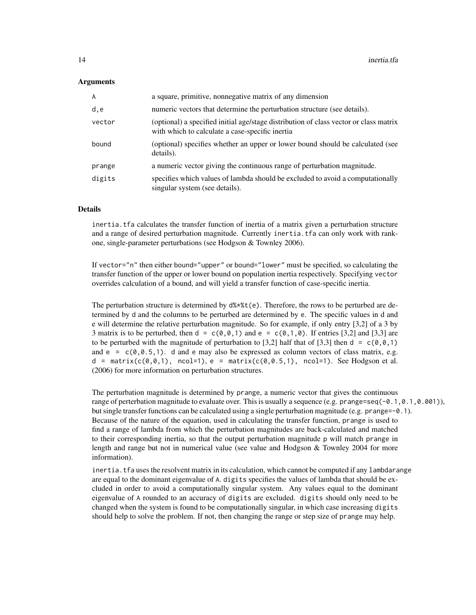#### **Arguments**

| A      | a square, primitive, nonnegative matrix of any dimension                                                                                 |
|--------|------------------------------------------------------------------------------------------------------------------------------------------|
| d,e    | numeric vectors that determine the perturbation structure (see details).                                                                 |
| vector | (optional) a specified initial age/stage distribution of class vector or class matrix<br>with which to calculate a case-specific inertia |
| bound  | (optional) specifies whether an upper or lower bound should be calculated (see<br>details).                                              |
| prange | a numeric vector giving the continuous range of perturbation magnitude.                                                                  |
| digits | specifies which values of lambda should be excluded to avoid a computationally<br>singular system (see details).                         |

# Details

inertia.tfa calculates the transfer function of inertia of a matrix given a perturbation structure and a range of desired perturbation magnitude. Currently inertia.tfa can only work with rankone, single-parameter perturbations (see Hodgson & Townley 2006).

If vector="n" then either bound="upper" or bound="lower" must be specified, so calculating the transfer function of the upper or lower bound on population inertia respectively. Specifying vector overrides calculation of a bound, and will yield a transfer function of case-specific inertia.

The perturbation structure is determined by  $d\mathcal{L} * \mathcal{L}(e)$ . Therefore, the rows to be perturbed are determined by d and the columns to be perturbed are determined by e. The specific values in d and e will determine the relative perturbation magnitude. So for example, if only entry [3,2] of a 3 by 3 matrix is to be perturbed, then  $d = c(0, 0, 1)$  and  $e = c(0, 1, 0)$ . If entries [3,2] and [3,3] are to be perturbed with the magnitude of perturbation to [3,2] half that of [3,3] then  $d = c(0, 0, 1)$ and  $e = c(0, 0.5, 1)$ . d and e may also be expressed as column vectors of class matrix, e.g.  $d = \text{matrix}(c(\emptyset, \emptyset, 1), \text{ncol}=1), e = \text{matrix}(c(\emptyset, \emptyset, 5, 1), \text{ncol}=1).$  See Hodgson et al. (2006) for more information on perturbation structures.

The perturbation magnitude is determined by prange, a numeric vector that gives the continuous range of perterbation magnitude to evaluate over. This is usually a sequence (e.g. prange=seq(-0.1,0.1,0.001)), but single transfer functions can be calculated using a single perturbation magnitude (e.g. prange=-0.1). Because of the nature of the equation, used in calculating the transfer function, prange is used to find a range of lambda from which the perturbation magnitudes are back-calculated and matched to their corresponding inertia, so that the output perturbation magnitude p will match prange in length and range but not in numerical value (see value and Hodgson & Townley 2004 for more information).

inertia.tfa uses the resolvent matrix in its calculation, which cannot be computed if any lambdarange are equal to the dominant eigenvalue of A. digits specifies the values of lambda that should be excluded in order to avoid a computationally singular system. Any values equal to the dominant eigenvalue of A rounded to an accuracy of digits are excluded. digits should only need to be changed when the system is found to be computationally singular, in which case increasing digits should help to solve the problem. If not, then changing the range or step size of prange may help.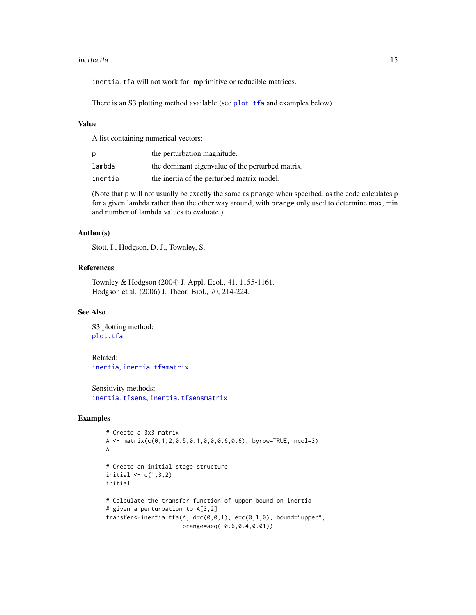#### <span id="page-14-0"></span>inertia.tfa 15

inertia.tfa will not work for imprimitive or reducible matrices.

There is an S3 plotting method available (see [plot.tfa](#page-0-0) and examples below)

# Value

A list containing numerical vectors:

| D       | the perturbation magnitude.                      |
|---------|--------------------------------------------------|
| lambda  | the dominant eigenvalue of the perturbed matrix. |
| inertia | the inertia of the perturbed matrix model.       |

(Note that p will not usually be exactly the same as prange when specified, as the code calculates p for a given lambda rather than the other way around, with prange only used to determine max, min and number of lambda values to evaluate.)

#### Author(s)

Stott, I., Hodgson, D. J., Townley, S.

#### References

Townley & Hodgson (2004) J. Appl. Ecol., 41, 1155-1161. Hodgson et al. (2006) J. Theor. Biol., 70, 214-224.

# See Also

S3 plotting method: [plot.tfa](#page-0-0)

Related: [inertia](#page-10-1), [inertia.tfamatrix](#page-15-1)

Sensitivity methods: [inertia.tfsens](#page-18-1), [inertia.tfsensmatrix](#page-0-0)

# Examples

```
# Create a 3x3 matrix
A \leq matrix(c(0,1,2,0.5,0.1,0,0,0.6,0.6), byrow=TRUE, ncol=3)
A
# Create an initial stage structure
initial \leq c(1,3,2)initial
# Calculate the transfer function of upper bound on inertia
# given a perturbation to A[3,2]
transfer<-inertia.tfa(A, d=c(0,0,1), e=c(0,1,0), bound="upper",
                      prange=seq(-0.6,0.4,0.01))
```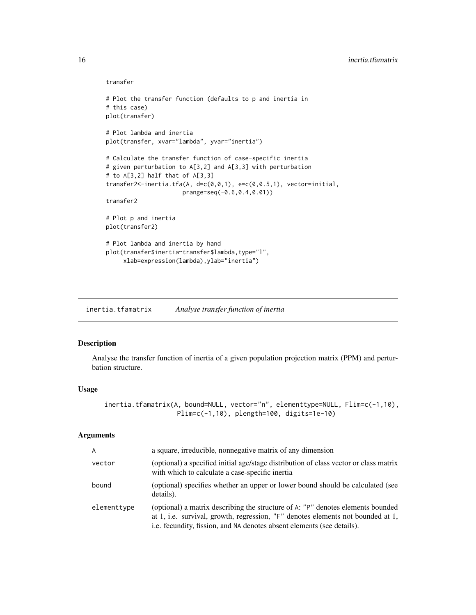#### transfer

```
# Plot the transfer function (defaults to p and inertia in
# this case)
plot(transfer)
# Plot lambda and inertia
plot(transfer, xvar="lambda", yvar="inertia")
# Calculate the transfer function of case-specific inertia
# given perturbation to A[3,2] and A[3,3] with perturbation
# to A[3,2] half that of A[3,3]
transfer2<-inertia.tfa(A, d=c(0,0,1), e=c(0,0.5,1), vector=initial,
                      prange=seq(-0.6,0.4,0.01))
transfer2
# Plot p and inertia
plot(transfer2)
# Plot lambda and inertia by hand
plot(transfer$inertia~transfer$lambda,type="l",
     xlab=expression(lambda),ylab="inertia")
```
<span id="page-15-1"></span>inertia.tfamatrix *Analyse transfer function of inertia*

#### Description

Analyse the transfer function of inertia of a given population projection matrix (PPM) and perturbation structure.

#### Usage

```
inertia.tfamatrix(A, bound=NULL, vector="n", elementtype=NULL, Flim=c(-1,10),
                  Plim=c(-1,10), plength=100, digits=1e-10)
```
# Arguments

| A           | a square, irreducible, nonnegative matrix of any dimension                                                                                                                                                                                   |
|-------------|----------------------------------------------------------------------------------------------------------------------------------------------------------------------------------------------------------------------------------------------|
| vector      | (optional) a specified initial age/stage distribution of class vector or class matrix<br>with which to calculate a case-specific inertia                                                                                                     |
| bound       | (optional) specifies whether an upper or lower bound should be calculated (see<br>details).                                                                                                                                                  |
| elementtype | (optional) a matrix describing the structure of A: "P" denotes elements bounded<br>at 1, i.e. survival, growth, regression, "F" denotes elements not bounded at 1,<br>i.e. fecundity, fission, and NA denotes absent elements (see details). |

<span id="page-15-0"></span>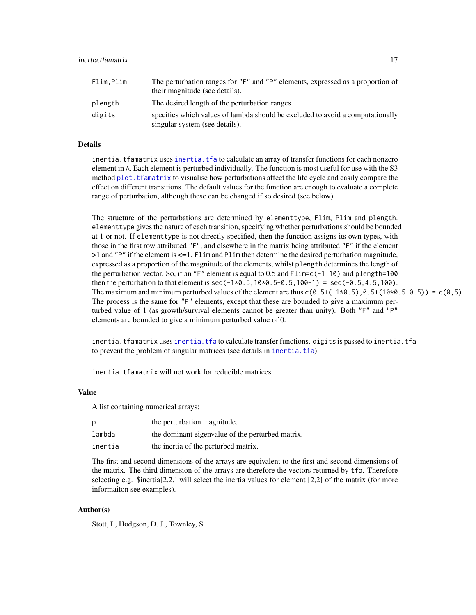<span id="page-16-0"></span>

| Flim,Plim | The perturbation ranges for "F" and "P" elements, expressed as a proportion of<br>their magnitude (see details). |
|-----------|------------------------------------------------------------------------------------------------------------------|
| plength   | The desired length of the perturbation ranges.                                                                   |
| digits    | specifies which values of lambda should be excluded to avoid a computationally<br>singular system (see details). |

# Details

inertia.tfamatrix uses [inertia.tfa](#page-12-1) to calculate an array of transfer functions for each nonzero element in A. Each element is perturbed individually. The function is most useful for use with the S3 method plot. tfamatrix to visualise how perturbations affect the life cycle and easily compare the effect on different transitions. The default values for the function are enough to evaluate a complete range of perturbation, although these can be changed if so desired (see below).

The structure of the perturbations are determined by elementtype, Flim, Plim and plength. elementtype gives the nature of each transition, specifying whether perturbations should be bounded at 1 or not. If elementtype is not directly specified, then the function assigns its own types, with those in the first row attributed "F", and elsewhere in the matrix being attributed "F" if the element >1 and "P" if the element is <=1. Flim and Plim then determine the desired perturbation magnitude, expressed as a proportion of the magnitude of the elements, whilst plength determines the length of the perturbation vector. So, if an "F" element is equal to 0.5 and  $\text{Elim} = c(-1,10)$  and plength=100 then the perturbation to that element is  $seq(-1*0.5, 10*0.5-0.5, 100-1) = seq(-0.5, 4.5, 100)$ . The maximum and minimum perturbed values of the element are thus  $c(0.5+(-1*0.5),0.5+(-10*0.5-0.5)) = c(0.5)$ . The process is the same for "P" elements, except that these are bounded to give a maximum perturbed value of 1 (as growth/survival elements cannot be greater than unity). Both "F" and "P" elements are bounded to give a minimum perturbed value of 0.

inertia.tfamatrix uses [inertia.tfa](#page-12-1) to calculate transfer functions. digits is passed to inertia.tfa to prevent the problem of singular matrices (see details in [inertia.tfa](#page-12-1)).

inertia.tfamatrix will not work for reducible matrices.

# Value

A list containing numerical arrays:

| D       | the perturbation magnitude.                      |
|---------|--------------------------------------------------|
| lambda  | the dominant eigenvalue of the perturbed matrix. |
| inertia | the inertia of the perturbed matrix.             |

The first and second dimensions of the arrays are equivalent to the first and second dimensions of the matrix. The third dimension of the arrays are therefore the vectors returned by tfa. Therefore selecting e.g.  $\text{Sinertia}[2,2]$  will select the inertia values for element [2,2] of the matrix (for more informaiton see examples).

#### Author(s)

Stott, I., Hodgson, D. J., Townley, S.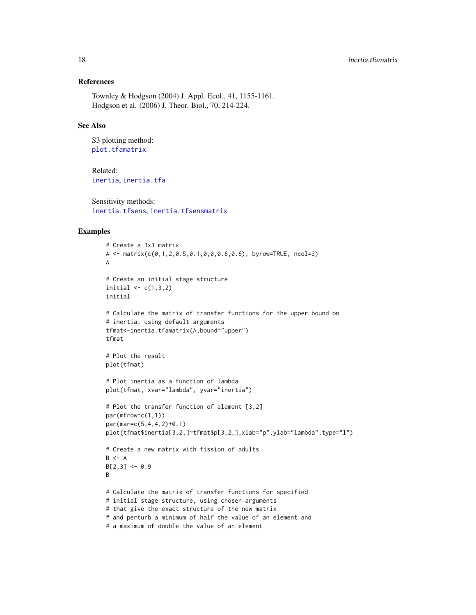# References

Townley & Hodgson (2004) J. Appl. Ecol., 41, 1155-1161. Hodgson et al. (2006) J. Theor. Biol., 70, 214-224.

# See Also

S3 plotting method: [plot.tfamatrix](#page-0-0)

Related: [inertia](#page-10-1), [inertia.tfa](#page-12-1)

Sensitivity methods: [inertia.tfsens](#page-18-1), [inertia.tfsensmatrix](#page-0-0)

# Examples

```
# Create a 3x3 matrix
A \leq matrix(c(0,1,2,0.5,0.1,0,0,0.6,0.6), byrow=TRUE, ncol=3)
A
# Create an initial stage structure
initial \leq c(1,3,2)initial
# Calculate the matrix of transfer functions for the upper bound on
# inertia, using default arguments
tfmat<-inertia.tfamatrix(A,bound="upper")
tfmat
# Plot the result
plot(tfmat)
# Plot inertia as a function of lambda
plot(tfmat, xvar="lambda", yvar="inertia")
# Plot the transfer function of element [3,2]
par(mfrow=c(1,1))
par(mar=c(5,4,4,2)+0.1)
plot(tfmat$inertia[3,2,]~tfmat$p[3,2,],xlab="p",ylab="lambda",type="l")
# Create a new matrix with fission of adults
B \leq -AB[2,3] <- 0.9
B
# Calculate the matrix of transfer functions for specified
# initial stage structure, using chosen arguments
# that give the exact structure of the new matrix
# and perturb a minimum of half the value of an element and
# a maximum of double the value of an element
```
<span id="page-17-0"></span>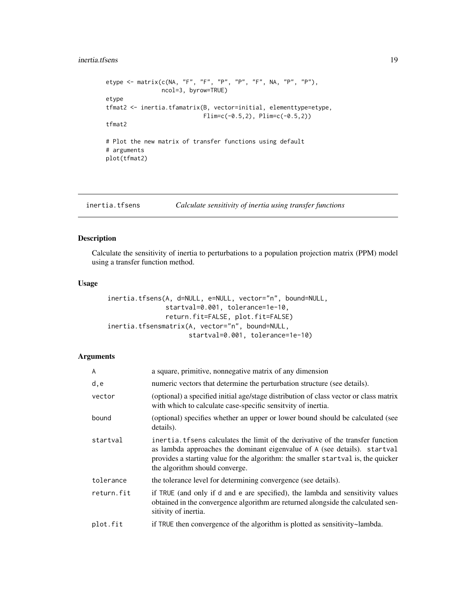#### <span id="page-18-0"></span>inertia.tfsens 19

```
etype <- matrix(c(NA, "F", "F", "P", "P", "F", NA, "P", "P"),
                ncol=3, byrow=TRUE)
etype
tfmat2 <- inertia.tfamatrix(B, vector=initial, elementtype=etype,
                            Flim=c(-0.5, 2), Plim=c(-0.5, 2))tfmat2
# Plot the new matrix of transfer functions using default
# arguments
plot(tfmat2)
```
<span id="page-18-1"></span>inertia.tfsens *Calculate sensitivity of inertia using transfer functions*

# Description

Calculate the sensitivity of inertia to perturbations to a population projection matrix (PPM) model using a transfer function method.

# Usage

```
inertia.tfsens(A, d=NULL, e=NULL, vector="n", bound=NULL,
               startval=0.001, tolerance=1e-10,
               return.fit=FALSE, plot.fit=FALSE)
inertia.tfsensmatrix(A, vector="n", bound=NULL,
                     startval=0.001, tolerance=1e-10)
```
#### Arguments

| A          | a square, primitive, nonnegative matrix of any dimension                                                                                                                                                                                                                          |
|------------|-----------------------------------------------------------------------------------------------------------------------------------------------------------------------------------------------------------------------------------------------------------------------------------|
| d, e       | numeric vectors that determine the perturbation structure (see details).                                                                                                                                                                                                          |
| vector     | (optional) a specified initial age/stage distribution of class vector or class matrix<br>with which to calculate case-specific sensityity of inertia.                                                                                                                             |
| bound      | (optional) specifies whether an upper or lower bound should be calculated (see<br>details).                                                                                                                                                                                       |
| startval   | inertia. then calculates the limit of the derivative of the transfer function<br>as lambda approaches the dominant eigenvalue of A (see details). startval<br>provides a starting value for the algorithm: the smaller startval is, the quicker<br>the algorithm should converge. |
| tolerance  | the tolerance level for determining convergence (see details).                                                                                                                                                                                                                    |
| return.fit | if TRUE (and only if d and e are specified), the lambda and sensitivity values<br>obtained in the convergence algorithm are returned alongside the calculated sen-<br>sitivity of inertia.                                                                                        |
| plot.fit   | if TRUE then convergence of the algorithm is plotted as sensitivity~lambda.                                                                                                                                                                                                       |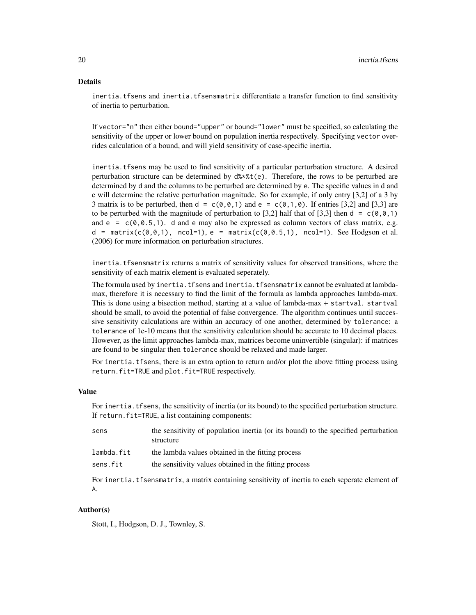#### Details

inertia.tfsens and inertia.tfsensmatrix differentiate a transfer function to find sensitivity of inertia to perturbation.

If vector="n" then either bound="upper" or bound="lower" must be specified, so calculating the sensitivity of the upper or lower bound on population inertia respectively. Specifying vector overrides calculation of a bound, and will yield sensitivity of case-specific inertia.

inertia.tfsens may be used to find sensitivity of a particular perturbation structure. A desired perturbation structure can be determined by  $d\ast\ast(t)$ . Therefore, the rows to be perturbed are determined by d and the columns to be perturbed are determined by e. The specific values in d and e will determine the relative perturbation magnitude. So for example, if only entry [3,2] of a 3 by 3 matrix is to be perturbed, then  $d = c(0, 0, 1)$  and  $e = c(0, 1, 0)$ . If entries [3,2] and [3,3] are to be perturbed with the magnitude of perturbation to [3,2] half that of [3,3] then  $d = c(0,0,1)$ and  $e = c(0, 0.5, 1)$ . d and e may also be expressed as column vectors of class matrix, e.g. d = matrix( $c(\emptyset, \emptyset, 1)$ , ncol=1), e = matrix( $c(\emptyset, \emptyset, 5, 1)$ , ncol=1). See Hodgson et al. (2006) for more information on perturbation structures.

inertia.tfsensmatrix returns a matrix of sensitivity values for observed transitions, where the sensitivity of each matrix element is evaluated seperately.

The formula used by inertia.tfsens and inertia.tfsensmatrix cannot be evaluated at lambdamax, therefore it is necessary to find the limit of the formula as lambda approaches lambda-max. This is done using a bisection method, starting at a value of lambda-max + startval. startval should be small, to avoid the potential of false convergence. The algorithm continues until successive sensitivity calculations are within an accuracy of one another, determined by tolerance: a tolerance of 1e-10 means that the sensitivity calculation should be accurate to 10 decimal places. However, as the limit approaches lambda-max, matrices become uninvertible (singular): if matrices are found to be singular then tolerance should be relaxed and made larger.

For inertia. tfsens, there is an extra option to return and/or plot the above fitting process using return.fit=TRUE and plot.fit=TRUE respectively.

#### Value

For inertia.tfsens, the sensitivity of inertia (or its bound) to the specified perturbation structure. If return. fit=TRUE, a list containing components:

| sens       | the sensitivity of population inertia (or its bound) to the specified perturbation<br>structure |
|------------|-------------------------------------------------------------------------------------------------|
| lambda.fit | the lambda values obtained in the fitting process                                               |
| sens.fit   | the sensitivity values obtained in the fitting process                                          |

For inertia.tfsensmatrix, a matrix containing sensitivity of inertia to each seperate element of A.

# Author(s)

Stott, I., Hodgson, D. J., Townley, S.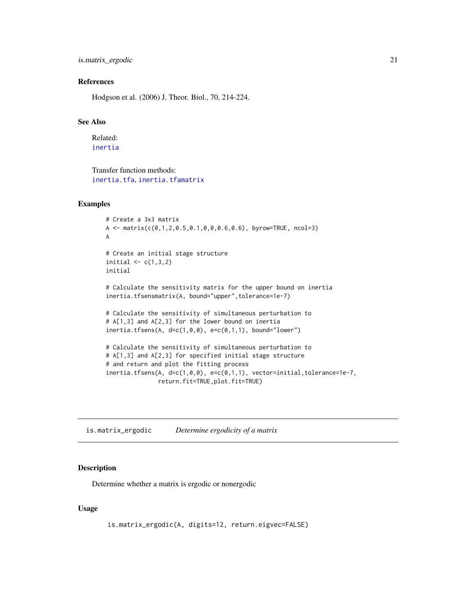<span id="page-20-0"></span>is.matrix\_ergodic 21

#### References

Hodgson et al. (2006) J. Theor. Biol., 70, 214-224.

# See Also

Related: [inertia](#page-10-1)

Transfer function methods: [inertia.tfa](#page-12-1), [inertia.tfamatrix](#page-15-1)

# Examples

```
# Create a 3x3 matrix
A \leq matrix(c(0,1,2,0.5,0.1,0,0,0.6,0.6), byrow=TRUE, ncol=3)
A
# Create an initial stage structure
initial \leq c(1,3,2)initial
# Calculate the sensitivity matrix for the upper bound on inertia
inertia.tfsensmatrix(A, bound="upper",tolerance=1e-7)
# Calculate the sensitivity of simultaneous perturbation to
# A[1,3] and A[2,3] for the lower bound on inertia
inertia.tfsens(A, d=c(1,0,0), e=c(0,1,1), bound="lower")# Calculate the sensitivity of simultaneous perturbation to
# A[1,3] and A[2,3] for specified initial stage structure
# and return and plot the fitting process
inertia.tfsens(A, d=c(1,0,0), e=c(0,1,1), vector=initial,tolerance=1e-7,
               return.fit=TRUE,plot.fit=TRUE)
```
<span id="page-20-1"></span>is.matrix\_ergodic *Determine ergodicity of a matrix*

#### Description

Determine whether a matrix is ergodic or nonergodic

# Usage

```
is.matrix_ergodic(A, digits=12, return.eigvec=FALSE)
```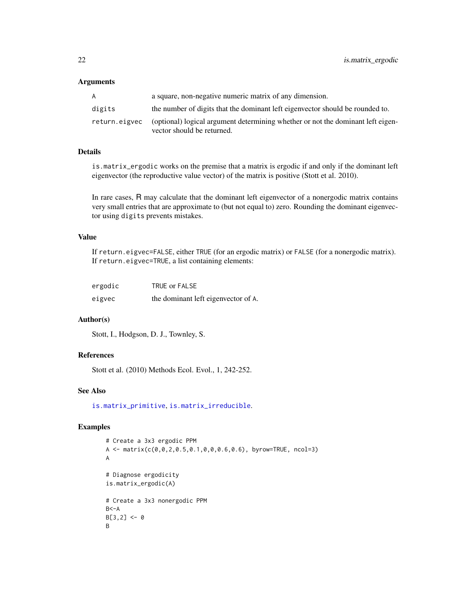#### <span id="page-21-0"></span>**Arguments**

| A             | a square, non-negative numeric matrix of any dimension.                                                       |
|---------------|---------------------------------------------------------------------------------------------------------------|
| digits        | the number of digits that the dominant left eigenvector should be rounded to.                                 |
| return.eigvec | (optional) logical argument determining whether or not the dominant left eigen-<br>vector should be returned. |

#### Details

is.matrix\_ergodic works on the premise that a matrix is ergodic if and only if the dominant left eigenvector (the reproductive value vector) of the matrix is positive (Stott et al. 2010).

In rare cases, R may calculate that the dominant left eigenvector of a nonergodic matrix contains very small entries that are approximate to (but not equal to) zero. Rounding the dominant eigenvector using digits prevents mistakes.

# Value

If return.eigvec=FALSE, either TRUE (for an ergodic matrix) or FALSE (for a nonergodic matrix). If return.eigvec=TRUE, a list containing elements:

| ergodic | TRUE or FALSE                       |
|---------|-------------------------------------|
| eigvec  | the dominant left eigenvector of A. |

# Author(s)

Stott, I., Hodgson, D. J., Townley, S.

# References

Stott et al. (2010) Methods Ecol. Evol., 1, 242-252.

# See Also

[is.matrix\\_primitive](#page-23-1), [is.matrix\\_irreducible](#page-22-1).

# Examples

```
# Create a 3x3 ergodic PPM
A <- matrix(c(0,0,2,0.5,0.1,0,0,0.6,0.6), byrow=TRUE, ncol=3)
A
# Diagnose ergodicity
is.matrix_ergodic(A)
# Create a 3x3 nonergodic PPM
B < -AB[3,2] < -0B
```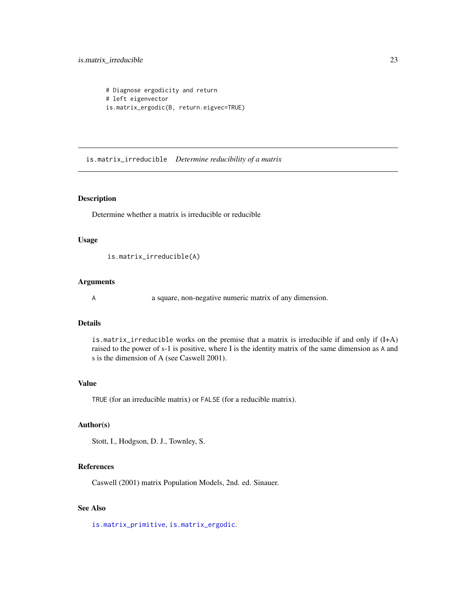# <span id="page-22-0"></span>is.matrix\_irreducible 23

```
# Diagnose ergodicity and return
# left eigenvector
is.matrix_ergodic(B, return.eigvec=TRUE)
```
<span id="page-22-1"></span>is.matrix\_irreducible *Determine reducibility of a matrix*

#### Description

Determine whether a matrix is irreducible or reducible

# Usage

is.matrix\_irreducible(A)

# Arguments

A a square, non-negative numeric matrix of any dimension.

# Details

is.matrix\_irreducible works on the premise that a matrix is irreducible if and only if (I+A) raised to the power of s-1 is positive, where I is the identity matrix of the same dimension as A and s is the dimension of A (see Caswell 2001).

# Value

TRUE (for an irreducible matrix) or FALSE (for a reducible matrix).

# Author(s)

Stott, I., Hodgson, D. J., Townley, S.

#### References

Caswell (2001) matrix Population Models, 2nd. ed. Sinauer.

# See Also

[is.matrix\\_primitive](#page-23-1), [is.matrix\\_ergodic](#page-20-1).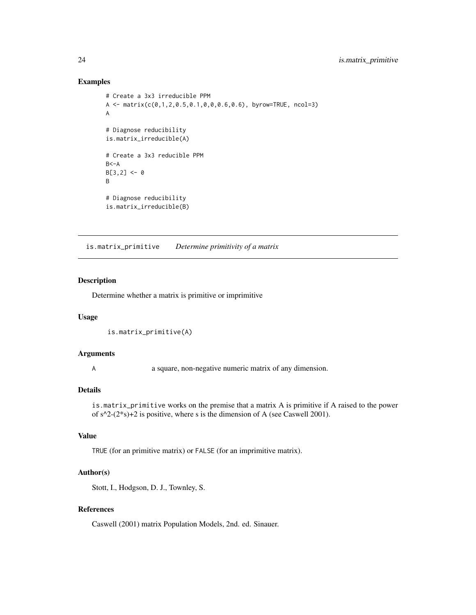# Examples

```
# Create a 3x3 irreducible PPM
A \leq matrix(c(0,1,2,0.5,0.1,0,0,0.6,0.6), byrow=TRUE, ncol=3)
A
# Diagnose reducibility
is.matrix_irreducible(A)
# Create a 3x3 reducible PPM
B < -AB[3,2] < -0B
# Diagnose reducibility
is.matrix_irreducible(B)
```
<span id="page-23-1"></span>is.matrix\_primitive *Determine primitivity of a matrix*

#### Description

Determine whether a matrix is primitive or imprimitive

# Usage

```
is.matrix_primitive(A)
```
#### Arguments

A a square, non-negative numeric matrix of any dimension.

# Details

is.matrix\_primitive works on the premise that a matrix A is primitive if A raised to the power of  $s^2-2^*s+2$  is positive, where s is the dimension of A (see Caswell 2001).

# Value

TRUE (for an primitive matrix) or FALSE (for an imprimitive matrix).

#### Author(s)

Stott, I., Hodgson, D. J., Townley, S.

# References

Caswell (2001) matrix Population Models, 2nd. ed. Sinauer.

<span id="page-23-0"></span>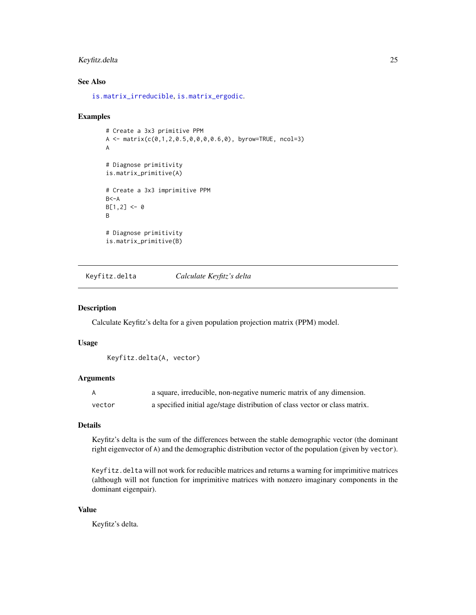# <span id="page-24-0"></span>Keyfitz.delta 25

# See Also

[is.matrix\\_irreducible](#page-22-1), [is.matrix\\_ergodic](#page-20-1).

#### Examples

```
# Create a 3x3 primitive PPM
A <- matrix(c(0,1,2,0.5,0,0,0,0.6,0), byrow=TRUE, ncol=3)
A
# Diagnose primitivity
is.matrix_primitive(A)
# Create a 3x3 imprimitive PPM
B < -AB[1,2] < -0B
# Diagnose primitivity
is.matrix_primitive(B)
```
<span id="page-24-1"></span>Keyfitz.delta *Calculate Keyfitz's delta*

# Description

Calculate Keyfitz's delta for a given population projection matrix (PPM) model.

# Usage

```
Keyfitz.delta(A, vector)
```
# Arguments

|        | a square, irreducible, non-negative numeric matrix of any dimension.        |
|--------|-----------------------------------------------------------------------------|
| vector | a specified initial age/stage distribution of class vector or class matrix. |

# Details

Keyfitz's delta is the sum of the differences between the stable demographic vector (the dominant right eigenvector of A) and the demographic distribution vector of the population (given by vector).

Keyfitz.delta will not work for reducible matrices and returns a warning for imprimitive matrices (although will not function for imprimitive matrices with nonzero imaginary components in the dominant eigenpair).

# Value

Keyfitz's delta.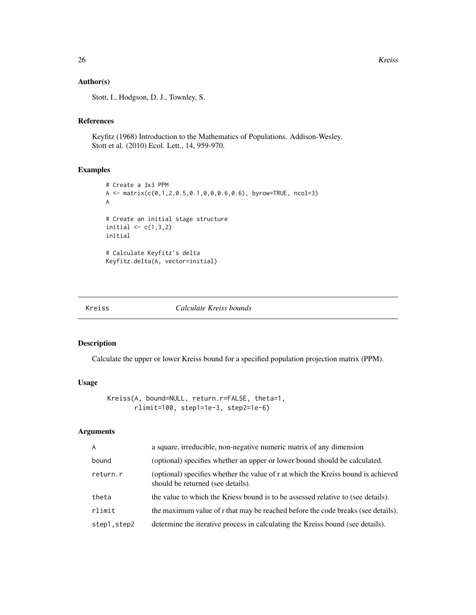# Author(s)

Stott, I., Hodgson, D. J., Townley, S.

# References

Keyfitz (1968) Introduction to the Mathematics of Populations. Addison-Wesley. Stott et al. (2010) Ecol. Lett., 14, 959-970.

#### Examples

```
# Create a 3x3 PPM
A <- matrix(c(0,1,2,0.5,0.1,0,0,0.6,0.6), byrow=TRUE, ncol=3)
A
# Create an initial stage structure
initial \leq c(1,3,2)initial
# Calculate Keyfitz's delta
Keyfitz.delta(A, vector=initial)
```
#### Kreiss *Calculate Kreiss bounds*

#### Description

Calculate the upper or lower Kreiss bound for a specified population projection matrix (PPM).

#### Usage

```
Kreiss(A, bound=NULL, return.r=FALSE, theta=1,
       rlimit=100, step1=1e-3, step2=1e-6)
```
# Arguments

| $\mathsf{A}$ | a square, irreducible, non-negative numeric matrix of any dimension                                                    |
|--------------|------------------------------------------------------------------------------------------------------------------------|
| bound        | (optional) specifies whether an upper or lower bound should be calculated.                                             |
| return.r     | (optional) specifies whether the value of r at which the Kreiss bound is achieved<br>should be returned (see details). |
| theta        | the value to which the Kriess bound is to be assessed relative to (see details).                                       |
| rlimit       | the maximum value of r that may be reached before the code breaks (see details).                                       |
| step1.step2  | determine the iterative process in calculating the Kreiss bound (see details).                                         |

<span id="page-25-0"></span>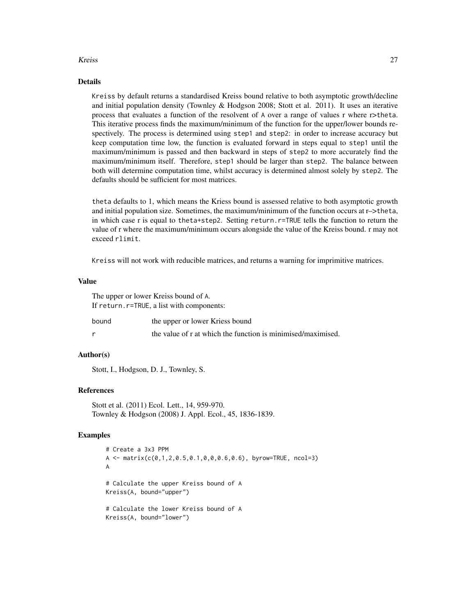#### Kreiss 27

# Details

Kreiss by default returns a standardised Kreiss bound relative to both asymptotic growth/decline and initial population density (Townley & Hodgson 2008; Stott et al. 2011). It uses an iterative process that evaluates a function of the resolvent of A over a range of values r where r>theta. This iterative process finds the maximum/minimum of the function for the upper/lower bounds respectively. The process is determined using step1 and step2: in order to increase accuracy but keep computation time low, the function is evaluated forward in steps equal to step1 until the maximum/minimum is passed and then backward in steps of step2 to more accurately find the maximum/minimum itself. Therefore, step1 should be larger than step2. The balance between both will determine computation time, whilst accuracy is determined almost solely by step2. The defaults should be sufficient for most matrices.

theta defaults to 1, which means the Kriess bound is assessed relative to both asymptotic growth and initial population size. Sometimes, the maximum/minimum of the function occurs at r–>theta, in which case r is equal to theta+step2. Setting return.r=TRUE tells the function to return the value of r where the maximum/minimum occurs alongside the value of the Kreiss bound. r may not exceed rlimit.

Kreiss will not work with reducible matrices, and returns a warning for imprimitive matrices.

# Value

|       | The upper or lower Kreiss bound of A.                        |
|-------|--------------------------------------------------------------|
|       | If return.r=TRUE, a list with components:                    |
| bound | the upper or lower Kriess bound                              |
|       | the value of r at which the function is minimised/maximised. |

# Author(s)

Stott, I., Hodgson, D. J., Townley, S.

### References

Stott et al. (2011) Ecol. Lett., 14, 959-970. Townley & Hodgson (2008) J. Appl. Ecol., 45, 1836-1839.

# Examples

```
# Create a 3x3 PPM
A \leq matrix(c(0,1,2,0.5,0.1,0,0,0.6,0.6), byrow=TRUE, ncol=3)
A
# Calculate the upper Kreiss bound of A
Kreiss(A, bound="upper")
# Calculate the lower Kreiss bound of A
Kreiss(A, bound="lower")
```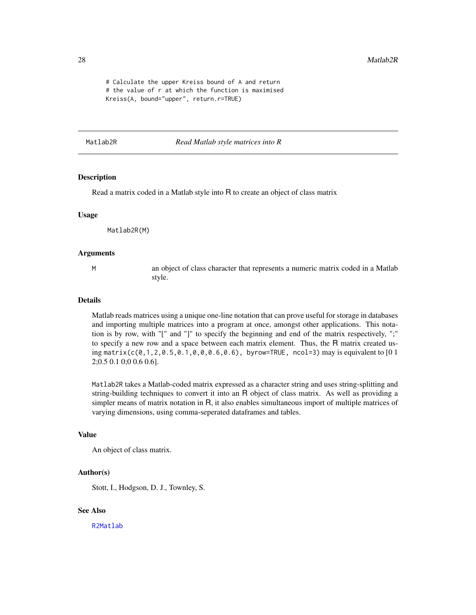```
# Calculate the upper Kreiss bound of A and return
# the value of r at which the function is maximised
Kreiss(A, bound="upper", return.r=TRUE)
```
<span id="page-27-1"></span>Matlab2R *Read Matlab style matrices into R*

# Description

Read a matrix coded in a Matlab style into R to create an object of class matrix

#### Usage

Matlab2R(M)

#### Arguments

M an object of class character that represents a numeric matrix coded in a Matlab style.

#### Details

Matlab reads matrices using a unique one-line notation that can prove useful for storage in databases and importing multiple matrices into a program at once, amongst other applications. This notation is by row, with "[" and "]" to specify the beginning and end of the matrix respectively, ";" to specify a new row and a space between each matrix element. Thus, the R matrix created using matrix( $c(0,1,2,0.5,0.1,0,0,0.6,0.6)$ , byrow=TRUE, ncol=3) may is equivalent to [0 1 2;0.5 0.1 0;0 0.6 0.6].

Matlab2R takes a Matlab-coded matrix expressed as a character string and uses string-splitting and string-building techniques to convert it into an R object of class matrix. As well as providing a simpler means of matrix notation in R, it also enables simultaneous import of multiple matrices of varying dimensions, using comma-seperated dataframes and tables.

#### Value

An object of class matrix.

#### Author(s)

Stott, I., Hodgson, D. J., Townley, S.

# See Also

[R2Matlab](#page-37-1)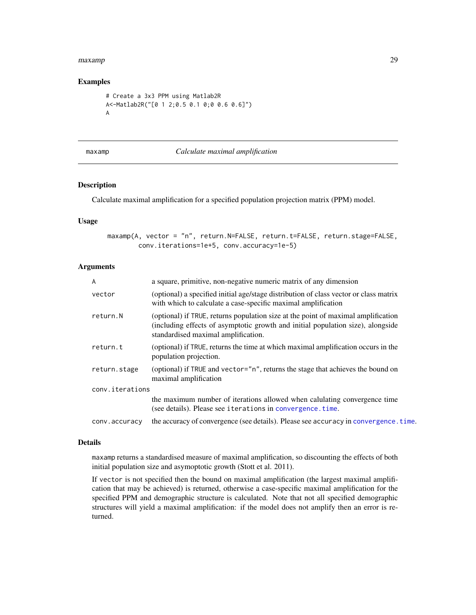#### <span id="page-28-0"></span>maxamp 29

# Examples

```
# Create a 3x3 PPM using Matlab2R
A<-Matlab2R("[0 1 2;0.5 0.1 0;0 0.6 0.6]")
A
```
#### <span id="page-28-1"></span>maxamp *Calculate maximal amplification*

# Description

Calculate maximal amplification for a specified population projection matrix (PPM) model.

#### Usage

maxamp(A, vector = "n", return.N=FALSE, return.t=FALSE, return.stage=FALSE, conv.iterations=1e+5, conv.accuracy=1e-5)

#### Arguments

| $\overline{A}$  | a square, primitive, non-negative numeric matrix of any dimension                                                                                                                                           |
|-----------------|-------------------------------------------------------------------------------------------------------------------------------------------------------------------------------------------------------------|
| vector          | (optional) a specified initial age/stage distribution of class vector or class matrix<br>with which to calculate a case-specific maximal amplification                                                      |
| return.N        | (optional) if TRUE, returns population size at the point of maximal amplification<br>(including effects of asymptotic growth and initial population size), alongside<br>standardised maximal amplification. |
| return.t        | (optional) if TRUE, returns the time at which maximal amplification occurs in the<br>population projection.                                                                                                 |
| return.stage    | (optional) if TRUE and vector="n", returns the stage that achieves the bound on<br>maximal amplification                                                                                                    |
| conv.iterations |                                                                                                                                                                                                             |
|                 | the maximum number of iterations allowed when calulating convergence time<br>(see details). Please see iterations in convergence.time.                                                                      |
| conv.accuracy   | the accuracy of convergence (see details). Please see accuracy in convergence, time.                                                                                                                        |
|                 |                                                                                                                                                                                                             |

#### Details

maxamp returns a standardised measure of maximal amplification, so discounting the effects of both initial population size and asymoptotic growth (Stott et al. 2011).

If vector is not specified then the bound on maximal amplification (the largest maximal amplification that may be achieved) is returned, otherwise a case-specific maximal amplification for the specified PPM and demographic structure is calculated. Note that not all specified demographic structures will yield a maximal amplification: if the model does not amplify then an error is returned.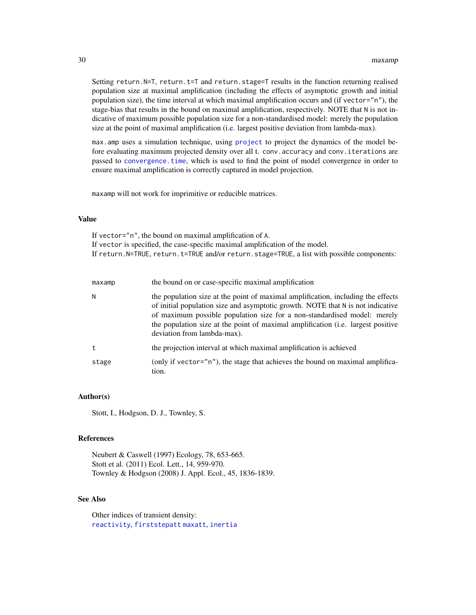<span id="page-29-0"></span>Setting return. N=T, return. t=T and return. stage=T results in the function returning realised population size at maximal amplification (including the effects of asymptotic growth and initial population size), the time interval at which maximal amplification occurs and (if vector="n"), the stage-bias that results in the bound on maximal amplification, respectively. NOTE that N is not indicative of maximum possible population size for a non-standardised model: merely the population size at the point of maximal amplification (i.e. largest positive deviation from lambda-max).

max.amp uses a simulation technique, using [project](#page-33-1) to project the dynamics of the model before evaluating maximum projected density over all t. conv.accuracy and conv.iterations are passed to [convergence.time](#page-5-1), which is used to find the point of model convergence in order to ensure maximal amplification is correctly captured in model projection.

maxamp will not work for imprimitive or reducible matrices.

# Value

If vector="n", the bound on maximal amplification of A. If vector is specified, the case-specific maximal amplification of the model. If return. N=TRUE, return. t=TRUE and/or return. stage=TRUE, a list with possible components:

| maxamp | the bound on or case-specific maximal amplification                                                                                                                                                                                                                                                                                                                |
|--------|--------------------------------------------------------------------------------------------------------------------------------------------------------------------------------------------------------------------------------------------------------------------------------------------------------------------------------------------------------------------|
| N      | the population size at the point of maximal amplification, including the effects<br>of initial population size and asymptotic growth. NOTE that N is not indicative<br>of maximum possible population size for a non-standardised model: merely<br>the population size at the point of maximal amplification (i.e. largest positive<br>deviation from lambda-max). |
| t.     | the projection interval at which maximal amplification is achieved                                                                                                                                                                                                                                                                                                 |
| stage  | (only if vector="n"), the stage that achieves the bound on maximal amplifica-<br>tion.                                                                                                                                                                                                                                                                             |

#### Author(s)

Stott, I., Hodgson, D. J., Townley, S.

#### **References**

Neubert & Caswell (1997) Ecology, 78, 653-665. Stott et al. (2011) Ecol. Lett., 14, 959-970. Townley & Hodgson (2008) J. Appl. Ecol., 45, 1836-1839.

# See Also

Other indices of transient density: [reactivity](#page-38-1), [firststepatt](#page-9-1) [maxatt](#page-30-1), [inertia](#page-10-1)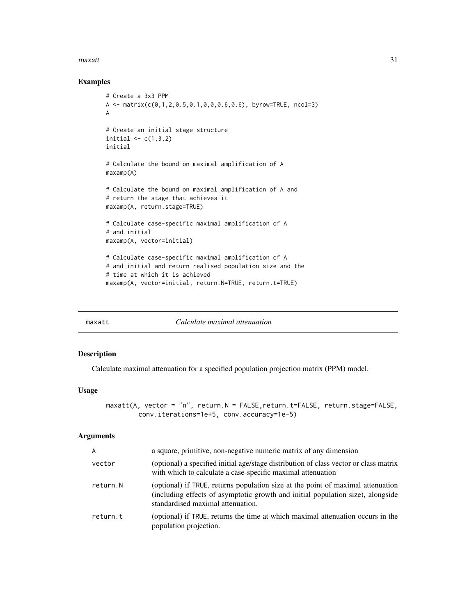#### <span id="page-30-0"></span> $max$ att $31$

# Examples

```
# Create a 3x3 PPM
A \leq matrix(c(0,1,2,0.5,0.1,0,0,0.6,0.6), byrow=TRUE, ncol=3)
A
# Create an initial stage structure
initial \leftarrow c(1,3,2)initial
# Calculate the bound on maximal amplification of A
maxamp(A)
# Calculate the bound on maximal amplification of A and
# return the stage that achieves it
maxamp(A, return.stage=TRUE)
# Calculate case-specific maximal amplification of A
# and initial
maxamp(A, vector=initial)
# Calculate case-specific maximal amplification of A
# and initial and return realised population size and the
# time at which it is achieved
maxamp(A, vector=initial, return.N=TRUE, return.t=TRUE)
```
<span id="page-30-1"></span>

maxatt *Calculate maximal attenuation*

# Description

Calculate maximal attenuation for a specified population projection matrix (PPM) model.

#### Usage

```
maxatt(A, vector = "n", return.N = FALSE, return.t=FALSE, return.stage=FALSE,
        conv.iterations=1e+5, conv.accuracy=1e-5)
```
# Arguments

| A        | a square, primitive, non-negative numeric matrix of any dimension                                                                                                                                       |
|----------|---------------------------------------------------------------------------------------------------------------------------------------------------------------------------------------------------------|
| vector   | (optional) a specified initial age/stage distribution of class vector or class matrix<br>with which to calculate a case-specific maximal attenuation                                                    |
| return.N | (optional) if TRUE, returns population size at the point of maximal attenuation<br>(including effects of asymptotic growth and initial population size), alongside<br>standardised maximal attenuation. |
| return.t | (optional) if TRUE, returns the time at which maximal attenuation occurs in the<br>population projection.                                                                                               |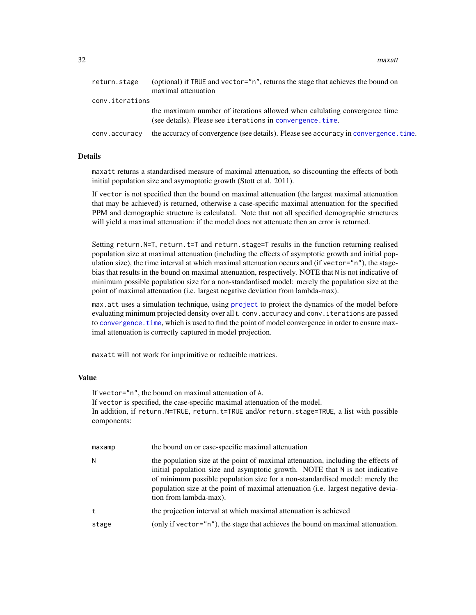<span id="page-31-0"></span>32 maxatt

| return.stage    | (optional) if TRUE and vector="n", returns the stage that achieves the bound on<br>maximal attenuation                                 |
|-----------------|----------------------------------------------------------------------------------------------------------------------------------------|
| conv.iterations |                                                                                                                                        |
|                 | the maximum number of iterations allowed when calulating convergence time<br>(see details). Please see iterations in convergence.time. |
| conv.accuracy   | the accuracy of convergence (see details). Please see accuracy in convergence, time,                                                   |

# Details

maxatt returns a standardised measure of maximal attenuation, so discounting the effects of both initial population size and asymoptotic growth (Stott et al. 2011).

If vector is not specified then the bound on maximal attenuation (the largest maximal attenuation that may be achieved) is returned, otherwise a case-specific maximal attenuation for the specified PPM and demographic structure is calculated. Note that not all specified demographic structures will yield a maximal attenuation: if the model does not attenuate then an error is returned.

Setting return.N=T, return.t=T and return.stage=T results in the function returning realised population size at maximal attenuation (including the effects of asymptotic growth and initial population size), the time interval at which maximal attenuation occurs and (if vector= $n$ n"), the stagebias that results in the bound on maximal attenuation, respectively. NOTE that N is not indicative of minimum possible population size for a non-standardised model: merely the population size at the point of maximal attenuation (i.e. largest negative deviation from lambda-max).

max.att uses a simulation technique, using [project](#page-33-1) to project the dynamics of the model before evaluating minimum projected density over all t. conv. accuracy and conv. i terations are passed to [convergence.time](#page-5-1), which is used to find the point of model convergence in order to ensure maximal attenuation is correctly captured in model projection.

maxatt will not work for imprimitive or reducible matrices.

# Value

If vector="n", the bound on maximal attenuation of A. If vector is specified, the case-specific maximal attenuation of the model. In addition, if return.N=TRUE, return.t=TRUE and/or return.stage=TRUE, a list with possible components:

| maxamp | the bound on or case-specific maximal attenuation                                                                                                                                                                                                                                                                                                                |
|--------|------------------------------------------------------------------------------------------------------------------------------------------------------------------------------------------------------------------------------------------------------------------------------------------------------------------------------------------------------------------|
| Ν      | the population size at the point of maximal attenuation, including the effects of<br>initial population size and asymptotic growth. NOTE that N is not indicative<br>of minimum possible population size for a non-standardised model: merely the<br>population size at the point of maximal attenuation (i.e. largest negative devia-<br>tion from lambda-max). |
| t.     | the projection interval at which maximal attenuation is achieved                                                                                                                                                                                                                                                                                                 |
| stage  | (only if vector="n"), the stage that achieves the bound on maximal attenuation.                                                                                                                                                                                                                                                                                  |
|        |                                                                                                                                                                                                                                                                                                                                                                  |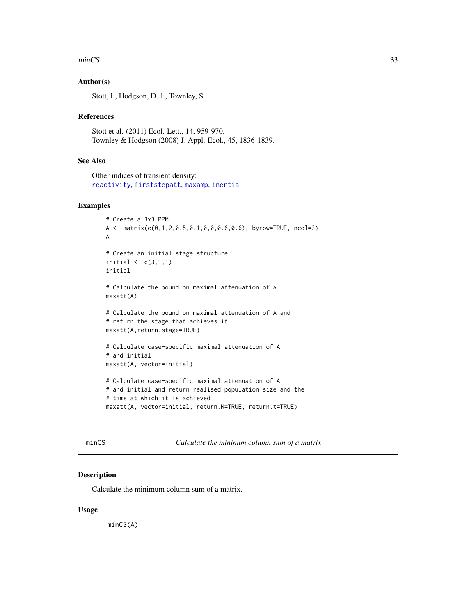#### <span id="page-32-0"></span>minCS 33

# Author(s)

Stott, I., Hodgson, D. J., Townley, S.

#### References

Stott et al. (2011) Ecol. Lett., 14, 959-970. Townley & Hodgson (2008) J. Appl. Ecol., 45, 1836-1839.

# See Also

Other indices of transient density: [reactivity](#page-38-1), [firststepatt](#page-9-1), [maxamp](#page-28-1), [inertia](#page-10-1)

# Examples

```
# Create a 3x3 PPM
A \leq matrix(c(0,1,2,0.5,0.1,0,0,0.6,0.6), byrow=TRUE, ncol=3)
A
# Create an initial stage structure
initial \leq c(3,1,1)initial
# Calculate the bound on maximal attenuation of A
maxatt(A)
# Calculate the bound on maximal attenuation of A and
# return the stage that achieves it
maxatt(A,return.stage=TRUE)
# Calculate case-specific maximal attenuation of A
# and initial
maxatt(A, vector=initial)
# Calculate case-specific maximal attenuation of A
# and initial and return realised population size and the
# time at which it is achieved
maxatt(A, vector=initial, return.N=TRUE, return.t=TRUE)
```
minCS *Calculate the mininum column sum of a matrix*

#### Description

Calculate the minimum column sum of a matrix.

#### Usage

minCS(A)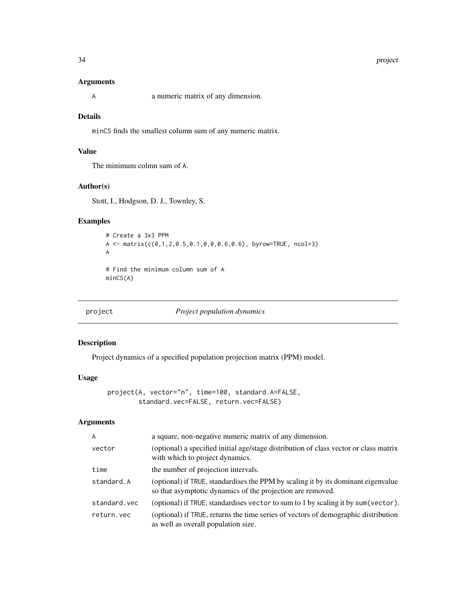#### 34 project

# Arguments

A a numeric matrix of any dimension.

# Details

minCS finds the smallest column sum of any numeric matrix.

# Value

The minimum colmn sum of A.

# Author(s)

Stott, I., Hodgson, D. J., Townley, S.

# Examples

```
# Create a 3x3 PPM
A \leq -\text{matrix}(c(0,1,2,0.5,0.1,0,0,0.6,0.6), byrow=TRUE, ncol=3)A
# Find the minimum column sum of A
minCS(A)
```
<span id="page-33-1"></span>

project *Project population dynamics*

#### Description

Project dynamics of a specified population projection matrix (PPM) model.

#### Usage

```
project(A, vector="n", time=100, standard.A=FALSE,
        standard.vec=FALSE, return.vec=FALSE)
```
# Arguments

| $\overline{A}$ | a square, non-negative numeric matrix of any dimension.                                                                                         |
|----------------|-------------------------------------------------------------------------------------------------------------------------------------------------|
| vector         | (optional) a specified initial age/stage distribution of class vector or class matrix<br>with which to project dynamics.                        |
| time           | the number of projection intervals.                                                                                                             |
| standard.A     | (optional) if TRUE, standardises the PPM by scaling it by its dominant eigenvalue<br>so that asymptotic dynamics of the projection are removed. |
| standard.vec   | (optional) if TRUE, standardises vector to sum to 1 by scaling it by sum (vector).                                                              |
| return.vec     | (optional) if TRUE, returns the time series of vectors of demographic distribution<br>as well as overall population size.                       |

<span id="page-33-0"></span>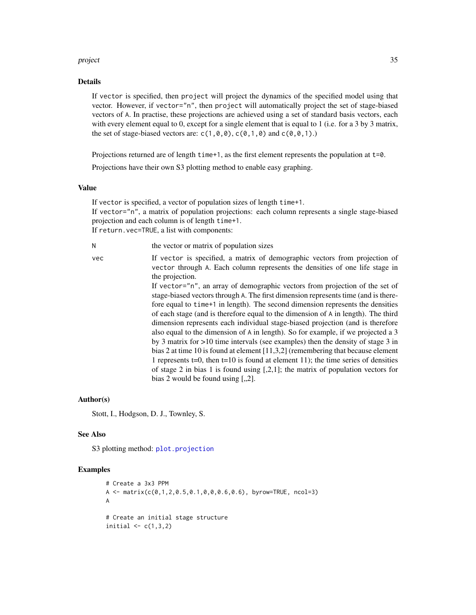#### <span id="page-34-0"></span>project 35

#### Details

If vector is specified, then project will project the dynamics of the specified model using that vector. However, if vector="n", then project will automatically project the set of stage-biased vectors of A. In practise, these projections are achieved using a set of standard basis vectors, each with every element equal to 0, except for a single element that is equal to 1 (i.e. for a 3 by 3 matrix, the set of stage-biased vectors are:  $c(1, 0, 0)$ ,  $c(0, 1, 0)$  and  $c(0, 0, 1)$ .

Projections returned are of length time+1, as the first element represents the population at t=0.

Projections have their own S3 plotting method to enable easy graphing.

# Value

If vector is specified, a vector of population sizes of length time+1. If vector="n", a matrix of population projections: each column represents a single stage-biased projection and each column is of length time+1. If return.vec=TRUE, a list with components:

N the vector or matrix of population sizes

vec If vector is specified, a matrix of demographic vectors from projection of vector through A. Each column represents the densities of one life stage in the projection. If vector="n", an array of demographic vectors from projection of the set of stage-biased vectors through A. The first dimension represents time (and is therefore equal to time+1 in length). The second dimension represents the densities of each stage (and is therefore equal to the dimension of A in length). The third dimension represents each individual stage-biased projection (and is therefore also equal to the dimension of A in length). So for example, if we projected a 3 by 3 matrix for >10 time intervals (see examples) then the density of stage 3 in bias 2 at time 10 is found at element [11,3,2] (remembering that because element 1 represents  $t=0$ , then  $t=10$  is found at element 11); the time series of densities of stage 2 in bias 1 is found using [,2,1]; the matrix of population vectors for

#### Author(s)

Stott, I., Hodgson, D. J., Townley, S.

#### See Also

S3 plotting method: [plot.projection](#page-0-0)

#### Examples

```
# Create a 3x3 PPM
A \leq matrix(c(0,1,2,0.5,0.1,0,0,0.6,0.6), byrow=TRUE, ncol=3)
A
# Create an initial stage structure
initial \leq c(1,3,2)
```
bias 2 would be found using  $[,2]$ .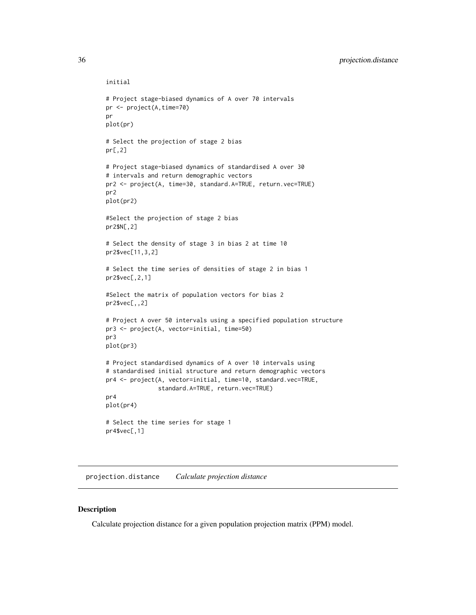```
initial
# Project stage-biased dynamics of A over 70 intervals
pr <- project(A,time=70)
pr
plot(pr)
# Select the projection of stage 2 bias
pr[,2]
# Project stage-biased dynamics of standardised A over 30
# intervals and return demographic vectors
pr2 <- project(A, time=30, standard.A=TRUE, return.vec=TRUE)
pr2
plot(pr2)
#Select the projection of stage 2 bias
pr2$N[,2]
# Select the density of stage 3 in bias 2 at time 10
pr2$vec[11,3,2]
# Select the time series of densities of stage 2 in bias 1
pr2$vec[,2,1]
#Select the matrix of population vectors for bias 2
pr2$vec[,,2]
# Project A over 50 intervals using a specified population structure
pr3 <- project(A, vector=initial, time=50)
pr3
plot(pr3)
# Project standardised dynamics of A over 10 intervals using
# standardised initial structure and return demographic vectors
pr4 <- project(A, vector=initial, time=10, standard.vec=TRUE,
               standard.A=TRUE, return.vec=TRUE)
pr4
plot(pr4)
# Select the time series for stage 1
pr4$vec[,1]
```
<span id="page-35-1"></span>projection.distance *Calculate projection distance*

#### Description

Calculate projection distance for a given population projection matrix (PPM) model.

<span id="page-35-0"></span>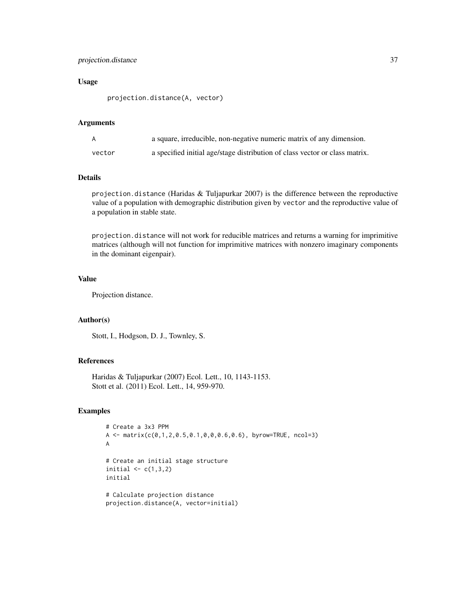# projection.distance 37

# Usage

projection.distance(A, vector)

#### Arguments

|        | a square, irreducible, non-negative numeric matrix of any dimension.        |
|--------|-----------------------------------------------------------------------------|
| vector | a specified initial age/stage distribution of class vector or class matrix. |

# Details

projection.distance (Haridas & Tuljapurkar 2007) is the difference between the reproductive value of a population with demographic distribution given by vector and the reproductive value of a population in stable state.

projection.distance will not work for reducible matrices and returns a warning for imprimitive matrices (although will not function for imprimitive matrices with nonzero imaginary components in the dominant eigenpair).

#### Value

Projection distance.

# Author(s)

Stott, I., Hodgson, D. J., Townley, S.

#### References

Haridas & Tuljapurkar (2007) Ecol. Lett., 10, 1143-1153. Stott et al. (2011) Ecol. Lett., 14, 959-970.

# Examples

```
# Create a 3x3 PPM
A <- matrix(c(0,1,2,0.5,0.1,0,0,0.6,0.6), byrow=TRUE, ncol=3)
A
# Create an initial stage structure
initial \leq c(1,3,2)initial
# Calculate projection distance
projection.distance(A, vector=initial)
```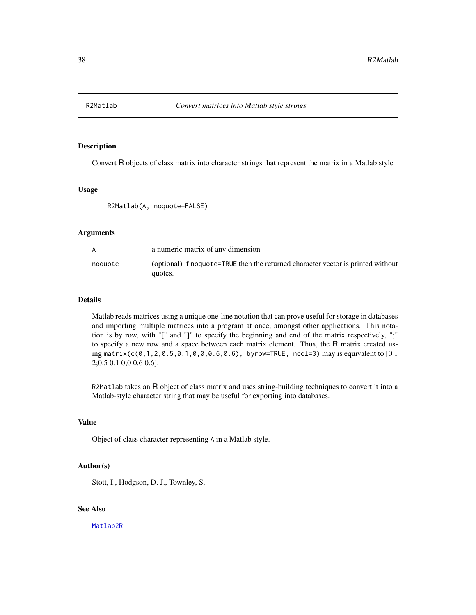<span id="page-37-1"></span><span id="page-37-0"></span>

# Description

Convert R objects of class matrix into character strings that represent the matrix in a Matlab style

#### Usage

R2Matlab(A, noquote=FALSE)

#### Arguments

| A       | a numeric matrix of any dimension                                                           |
|---------|---------------------------------------------------------------------------------------------|
| noquote | (optional) if noquote=TRUE then the returned character vector is printed without<br>quotes. |

# Details

Matlab reads matrices using a unique one-line notation that can prove useful for storage in databases and importing multiple matrices into a program at once, amongst other applications. This notation is by row, with "[" and "]" to specify the beginning and end of the matrix respectively, ";" to specify a new row and a space between each matrix element. Thus, the R matrix created using matrix(c(0,1,2,0.5,0.1,0,0,0.6,0.6), byrow=TRUE, ncol=3) may is equivalent to  $[01]$ 2;0.5 0.1 0;0 0.6 0.6].

R2Matlab takes an R object of class matrix and uses string-building techniques to convert it into a Matlab-style character string that may be useful for exporting into databases.

# Value

Object of class character representing A in a Matlab style.

# Author(s)

Stott, I., Hodgson, D. J., Townley, S.

# See Also

[Matlab2R](#page-27-1)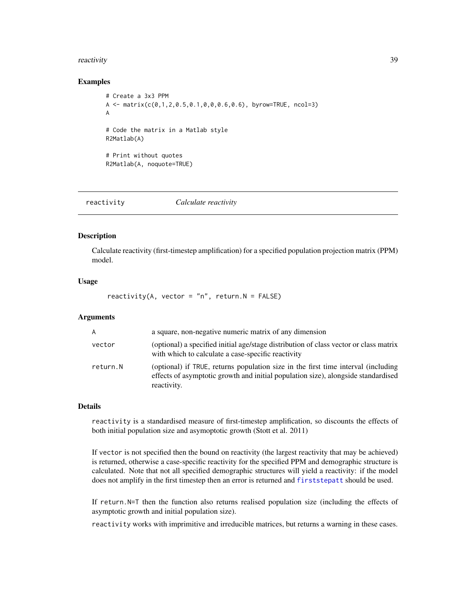#### <span id="page-38-0"></span>reactivity 39

#### Examples

```
# Create a 3x3 PPM
A \leq matrix(c(0,1,2,0.5,0.1,0,0,0.6,0.6), byrow=TRUE, ncol=3)
A
# Code the matrix in a Matlab style
R2Matlab(A)
# Print without quotes
R2Matlab(A, noquote=TRUE)
```
<span id="page-38-1"></span>reactivity *Calculate reactivity*

#### **Description**

Calculate reactivity (first-timestep amplification) for a specified population projection matrix (PPM) model.

# Usage

reactivity(A, vector =  $"n"$ , return.N = FALSE)

#### Arguments

| A        | a square, non-negative numeric matrix of any dimension                                                                                                                                |
|----------|---------------------------------------------------------------------------------------------------------------------------------------------------------------------------------------|
| vector   | (optional) a specified initial age/stage distribution of class vector or class matrix<br>with which to calculate a case-specific reactivity                                           |
| return.N | (optional) if TRUE, returns population size in the first time interval (including<br>effects of asymptotic growth and initial population size), alongside standardised<br>reactivity. |

#### Details

reactivity is a standardised measure of first-timestep amplification, so discounts the effects of both initial population size and asymoptotic growth (Stott et al. 2011)

If vector is not specified then the bound on reactivity (the largest reactivity that may be achieved) is returned, otherwise a case-specific reactivity for the specified PPM and demographic structure is calculated. Note that not all specified demographic structures will yield a reactivity: if the model does not amplify in the first timestep then an error is returned and [firststepatt](#page-9-1) should be used.

If return.N=T then the function also returns realised population size (including the effects of asymptotic growth and initial population size).

reactivity works with imprimitive and irreducible matrices, but returns a warning in these cases.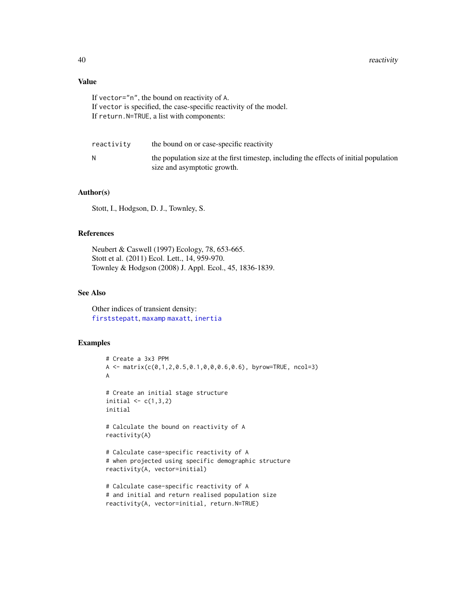# <span id="page-39-0"></span>Value

If vector="n", the bound on reactivity of A. If vector is specified, the case-specific reactivity of the model. If return.N=TRUE, a list with components:

| reactivity | the bound on or case-specific reactivity                                                                              |
|------------|-----------------------------------------------------------------------------------------------------------------------|
| N          | the population size at the first timestep, including the effects of initial population<br>size and asymptotic growth. |

#### Author(s)

Stott, I., Hodgson, D. J., Townley, S.

#### References

Neubert & Caswell (1997) Ecology, 78, 653-665. Stott et al. (2011) Ecol. Lett., 14, 959-970. Townley & Hodgson (2008) J. Appl. Ecol., 45, 1836-1839.

# See Also

Other indices of transient density: [firststepatt](#page-9-1), [maxamp](#page-28-1) [maxatt](#page-30-1), [inertia](#page-10-1)

#### Examples

```
# Create a 3x3 PPM
A <- matrix(c(0,1,2,0.5,0.1,0,0,0.6,0.6), byrow=TRUE, ncol=3)
A
# Create an initial stage structure
initial \leq c(1,3,2)initial
# Calculate the bound on reactivity of A
reactivity(A)
# Calculate case-specific reactivity of A
# when projected using specific demographic structure
reactivity(A, vector=initial)
# Calculate case-specific reactivity of A
# and initial and return realised population size
```
reactivity(A, vector=initial, return.N=TRUE)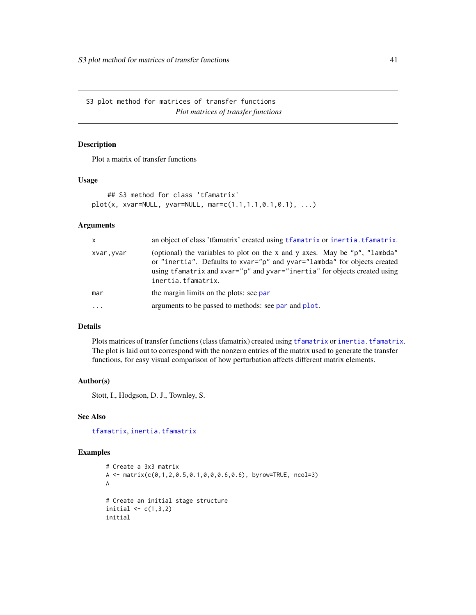<span id="page-40-0"></span>S3 plot method for matrices of transfer functions *Plot matrices of transfer functions*

# Description

Plot a matrix of transfer functions

#### Usage

```
## S3 method for class 'tfamatrix'
plot(x, xvar=NULL, yvar=NULL, mar=c(1.1,1.1,0.1,0.1), ...)
```
# Arguments

| $\mathsf{x}$        | an object of class 'tfamatrix' created using tfamatrix or inertia. tfamatrix.                                                                                                                                                                             |
|---------------------|-----------------------------------------------------------------------------------------------------------------------------------------------------------------------------------------------------------------------------------------------------------|
| xvar, yvar          | (optional) the variables to plot on the x and y axes. May be "p", "lambda"<br>or "inertia". Defaults to xvar="p" and yvar="lambda" for objects created<br>using tfamatrix and xvar="p" and yvar="inertia" for objects created using<br>inertia.tfamatrix. |
| mar                 | the margin limits on the plots: see par                                                                                                                                                                                                                   |
| $\cdot \cdot \cdot$ | arguments to be passed to methods: see par and plot.                                                                                                                                                                                                      |

# Details

Plots matrices of transfer functions (class [tfamatrix](#page-49-1)) created using tfamatrix or [inertia.tfamatrix](#page-15-1). The plot is laid out to correspond with the nonzero entries of the matrix used to generate the transfer functions, for easy visual comparison of how perturbation affects different matrix elements.

#### Author(s)

Stott, I., Hodgson, D. J., Townley, S.

# See Also

[tfamatrix](#page-49-1), [inertia.tfamatrix](#page-15-1)

# Examples

```
# Create a 3x3 matrix
A \leq matrix(c(0,1,2,0.5,0.1,0,0,0.6,0.6), byrow=TRUE, ncol=3)
A
# Create an initial stage structure
initial \leq c(1,3,2)initial
```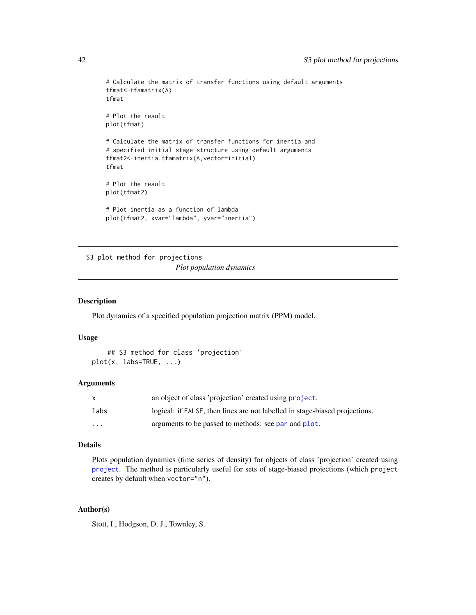```
# Calculate the matrix of transfer functions using default arguments
tfmat<-tfamatrix(A)
tfmat
# Plot the result
plot(tfmat)
# Calculate the matrix of transfer functions for inertia and
# specified initial stage structure using default arguments
tfmat2<-inertia.tfamatrix(A,vector=initial)
tfmat
# Plot the result
plot(tfmat2)
# Plot inertia as a function of lambda
plot(tfmat2, xvar="lambda", yvar="inertia")
```
S3 plot method for projections *Plot population dynamics*

#### Description

Plot dynamics of a specified population projection matrix (PPM) model.

#### Usage

```
## S3 method for class 'projection'
plot(x, labs=TRUE, ...)
```
#### Arguments

|                         | an object of class 'projection' created using project.                      |
|-------------------------|-----------------------------------------------------------------------------|
| labs                    | logical: if FALSE, then lines are not labelled in stage-biased projections. |
| $\cdot$ $\cdot$ $\cdot$ | arguments to be passed to methods: see par and plot.                        |

# Details

Plots population dynamics (time series of density) for objects of class 'projection' created using [project](#page-33-1). The method is particularly useful for sets of stage-biased projections (which project creates by default when vector="n").

# Author(s)

Stott, I., Hodgson, D. J., Townley, S.

<span id="page-41-0"></span>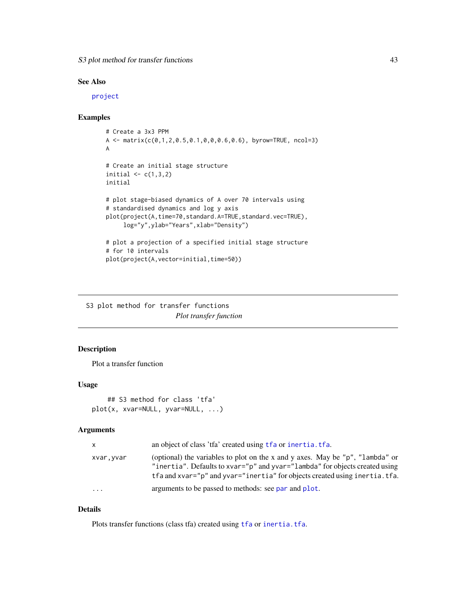<span id="page-42-0"></span>S3 plot method for transfer functions 43

# See Also

[project](#page-33-1)

# Examples

```
# Create a 3x3 PPM
A <- matrix(c(0,1,2,0.5,0.1,0,0,0.6,0.6), byrow=TRUE, ncol=3)
A
# Create an initial stage structure
initial \leq c(1,3,2)initial
# plot stage-biased dynamics of A over 70 intervals using
# standardised dynamics and log y axis
plot(project(A,time=70,standard.A=TRUE,standard.vec=TRUE),
     log="y",ylab="Years",xlab="Density")
# plot a projection of a specified initial stage structure
# for 10 intervals
plot(project(A,vector=initial,time=50))
```
S3 plot method for transfer functions *Plot transfer function*

# Description

Plot a transfer function

# Usage

```
## S3 method for class 'tfa'
plot(x, xvar=NULL, yvar=NULL, ...)
```
#### Arguments

| $\mathsf{x}$ | an object of class 'tfa' created using the or inertia. the.                                                                                                                                                                                |
|--------------|--------------------------------------------------------------------------------------------------------------------------------------------------------------------------------------------------------------------------------------------|
| xvar,yvar    | (optional) the variables to plot on the x and y axes. May be "p", "lambda" or<br>"inertia". Defaults to xvar="p" and yvar="lambda" for objects created using<br>tfa and xvar="p" and yvar="inertia" for objects created using inertia.tfa. |
| $\ddotsc$    | arguments to be passed to methods: see par and plot.                                                                                                                                                                                       |

# Details

Plots transfer functions (class [tfa](#page-46-1)) created using tfa or [inertia.tfa](#page-12-1).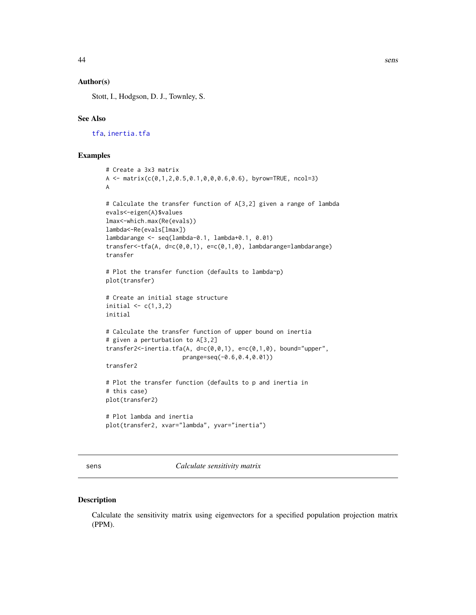# <span id="page-43-0"></span>Author(s)

Stott, I., Hodgson, D. J., Townley, S.

#### See Also

[tfa](#page-46-1), [inertia.tfa](#page-12-1)

#### Examples

```
# Create a 3x3 matrix
A <- matrix(c(0,1,2,0.5,0.1,0,0,0.6,0.6), byrow=TRUE, ncol=3)
A
# Calculate the transfer function of A[3,2] given a range of lambda
evals<-eigen(A)$values
lmax<-which.max(Re(evals))
lambda<-Re(evals[lmax])
lambdarange <- seq(lambda-0.1, lambda+0.1, 0.01)
transfer<-tfa(A, d=c(0,0,1), e=c(0,1,0), lambdarange=lambdarange)
transfer
# Plot the transfer function (defaults to lambda~p)
plot(transfer)
# Create an initial stage structure
initial \leq c(1,3,2)initial
# Calculate the transfer function of upper bound on inertia
# given a perturbation to A[3,2]
transfer2<-inertia.tfa(A, d=c(0,0,1), e=c(0,1,0), bound="upper",
                      prange=seq(-0.6,0.4,0.01))
transfer2
# Plot the transfer function (defaults to p and inertia in
# this case)
plot(transfer2)
# Plot lambda and inertia
plot(transfer2, xvar="lambda", yvar="inertia")
```
<span id="page-43-1"></span>sens *Calculate sensitivity matrix*

# Description

Calculate the sensitivity matrix using eigenvectors for a specified population projection matrix (PPM).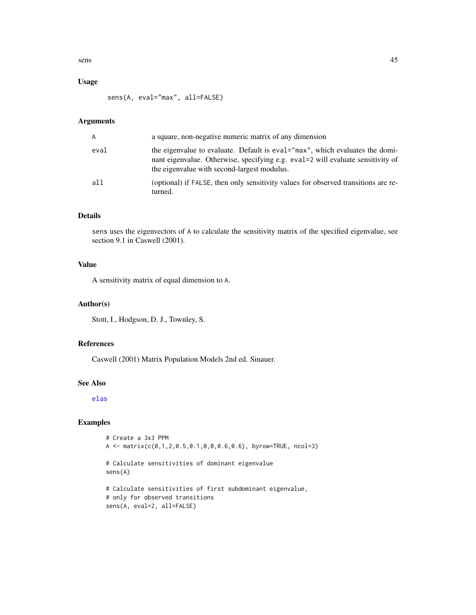<span id="page-44-0"></span>sens and the sense of the sense of the sense and the sense of the sense of the sense of the sense of the sense of the sense of the sense of the sense of the sense of the sense of the sense of the sense of the sense of the

# Usage

sens(A, eval="max", all=FALSE)

# Arguments

| $\mathsf{A}$ | a square, non-negative numeric matrix of any dimension                                                                                                                                                         |
|--------------|----------------------------------------------------------------------------------------------------------------------------------------------------------------------------------------------------------------|
| eval         | the eigenvalue to evaluate. Default is eval="max", which evaluates the domi-<br>nant eigenvalue. Otherwise, specifying e.g. eval=2 will evaluate sensitivity of<br>the eigenvalue with second-largest modulus. |
| all          | (optional) if FALSE, then only sensitivity values for observed transitions are re-<br>turned.                                                                                                                  |

# Details

sens uses the eigenvectors of A to calculate the sensitivity matrix of the specified eigenvalue, see section 9.1 in Caswell (2001).

# Value

A sensitivity matrix of equal dimension to A.

# Author(s)

Stott, I., Hodgson, D. J., Townley, S.

## References

Caswell (2001) Matrix Population Models 2nd ed. Sinauer.

# See Also

[elas](#page-8-1)

# Examples

```
# Create a 3x3 PPM
A <- matrix(c(0,1,2,0.5,0.1,0,0,0.6,0.6), byrow=TRUE, ncol=3)
```

```
# Calculate sensitivities of dominant eigenvalue
sens(A)
```

```
# Calculate sensitivities of first subdominant eigenvalue,
# only for observed transitions
sens(A, eval=2, all=FALSE)
```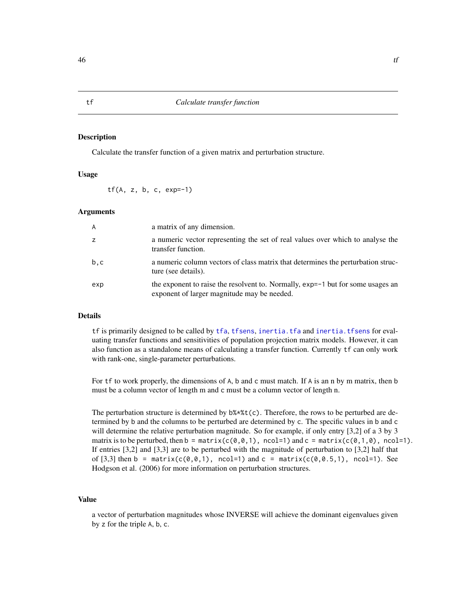#### Description

Calculate the transfer function of a given matrix and perturbation structure.

# Usage

tf(A, z, b, c, exp=-1)

#### Arguments

| $\overline{A}$ | a matrix of any dimension.                                                                                                     |
|----------------|--------------------------------------------------------------------------------------------------------------------------------|
| z              | a numeric vector representing the set of real values over which to analyse the<br>transfer function.                           |
| b.c            | a numeric column vectors of class matrix that determines the perturbation struc-<br>ture (see details).                        |
| exp            | the exponent to raise the resolvent to. Normally, exp=-1 but for some usages an<br>exponent of larger magnitude may be needed. |

# Details

tf is primarily designed to be called by [tfa](#page-46-1), [tfsens](#page-51-1), [inertia.tfa](#page-12-1) and [inertia.tfsens](#page-18-1) for evaluating transfer functions and sensitivities of population projection matrix models. However, it can also function as a standalone means of calculating a transfer function. Currently tf can only work with rank-one, single-parameter perturbations.

For tf to work properly, the dimensions of A, b and c must match. If A is an n by m matrix, then b must be a column vector of length m and c must be a column vector of length n.

The perturbation structure is determined by  $b\frac{4}{3}$  (c). Therefore, the rows to be perturbed are determined by b and the columns to be perturbed are determined by c. The specific values in b and c will determine the relative perturbation magnitude. So for example, if only entry [3,2] of a 3 by 3 matrix is to be perturbed, then  $b = \text{matrix}(c(0, 0, 1), \text{ncol}=1)$  and  $c = \text{matrix}(c(0, 1, 0), \text{ncol}=1)$ . If entries [3,2] and [3,3] are to be perturbed with the magnitude of perturbation to [3,2] half that of [3,3] then b = matrix(c(0,0,1), ncol=1) and c = matrix(c(0,0.5,1), ncol=1). See Hodgson et al. (2006) for more information on perturbation structures.

# Value

a vector of perturbation magnitudes whose INVERSE will achieve the dominant eigenvalues given by z for the triple A, b, c.

<span id="page-45-0"></span>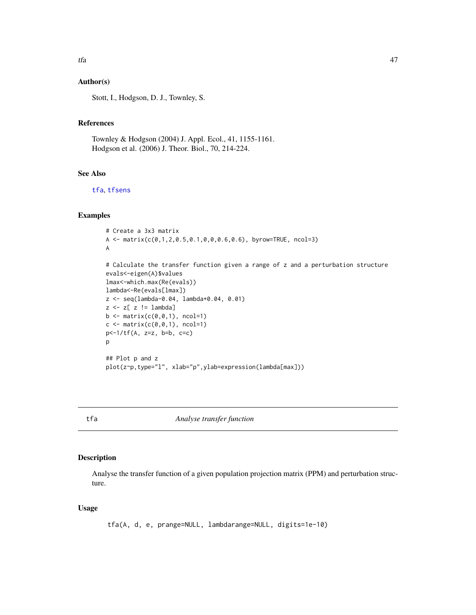# <span id="page-46-0"></span>Author(s)

Stott, I., Hodgson, D. J., Townley, S.

# References

Townley & Hodgson (2004) J. Appl. Ecol., 41, 1155-1161. Hodgson et al. (2006) J. Theor. Biol., 70, 214-224.

#### See Also

[tfa](#page-46-1), [tfsens](#page-51-1)

# Examples

```
# Create a 3x3 matrix
A <- matrix(c(0,1,2,0.5,0.1,0,0,0.6,0.6), byrow=TRUE, ncol=3)
A
# Calculate the transfer function given a range of z and a perturbation structure
evals<-eigen(A)$values
lmax<-which.max(Re(evals))
lambda<-Re(evals[lmax])
z <- seq(lambda-0.04, lambda+0.04, 0.01)
z <- z[ z != lambda]
b \leftarrow \text{matrix}(c(0, 0, 1), \text{ncol=1})c \leftarrow matrix(c(0, 0, 1), ncol=1)p<-1/tf(A, z=z, b=b, c=c)
p
## Plot p and z
plot(z~p,type="l", xlab="p",ylab=expression(lambda[max]))
```
<span id="page-46-1"></span>tfa *Analyse transfer function*

# Description

Analyse the transfer function of a given population projection matrix (PPM) and perturbation structure.

# Usage

tfa(A, d, e, prange=NULL, lambdarange=NULL, digits=1e-10)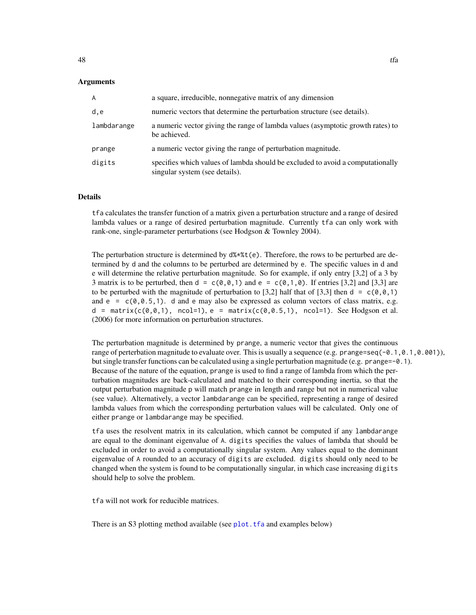#### <span id="page-47-0"></span>Arguments

| A           | a square, irreducible, nonnegative matrix of any dimension                                                       |
|-------------|------------------------------------------------------------------------------------------------------------------|
| d,e         | numeric vectors that determine the perturbation structure (see details).                                         |
| lambdarange | a numeric vector giving the range of lambda values (asymptotic growth rates) to<br>be achieved.                  |
| prange      | a numeric vector giving the range of perturbation magnitude.                                                     |
| digits      | specifies which values of lambda should be excluded to avoid a computationally<br>singular system (see details). |

#### Details

tfa calculates the transfer function of a matrix given a perturbation structure and a range of desired lambda values or a range of desired perturbation magnitude. Currently tfa can only work with rank-one, single-parameter perturbations (see Hodgson & Townley 2004).

The perturbation structure is determined by  $d\frac{4}{3}\cdot \frac{4}{1}$  (e). Therefore, the rows to be perturbed are determined by d and the columns to be perturbed are determined by e. The specific values in d and e will determine the relative perturbation magnitude. So for example, if only entry [3,2] of a 3 by 3 matrix is to be perturbed, then d =  $c(\emptyset, \emptyset, 1)$  and e =  $c(\emptyset, 1, \emptyset)$ . If entries [3,2] and [3,3] are to be perturbed with the magnitude of perturbation to [3,2] half that of [3,3] then d =  $c(\theta, \theta, 1)$ and  $e = c(0, 0.5, 1)$ . d and e may also be expressed as column vectors of class matrix, e.g.  $d = \text{matrix}(c(\emptyset, \emptyset, 1), \text{ncol}=1), e = \text{matrix}(c(\emptyset, \emptyset, 5, 1), \text{ncol}=1).$  See Hodgson et al. (2006) for more information on perturbation structures.

The perturbation magnitude is determined by prange, a numeric vector that gives the continuous range of perterbation magnitude to evaluate over. This is usually a sequence (e.g. prange=seq(-0.1,0.1,0.001)), but single transfer functions can be calculated using a single perturbation magnitude (e.g. prange=-0.1). Because of the nature of the equation, prange is used to find a range of lambda from which the perturbation magnitudes are back-calculated and matched to their corresponding inertia, so that the output perturbation magnitude p will match prange in length and range but not in numerical value (see value). Alternatively, a vector lambdarange can be specified, representing a range of desired lambda values from which the corresponding perturbation values will be calculated. Only one of either prange or lambdarange may be specified.

tfa uses the resolvent matrix in its calculation, which cannot be computed if any lambdarange are equal to the dominant eigenvalue of A. digits specifies the values of lambda that should be excluded in order to avoid a computationally singular system. Any values equal to the dominant eigenvalue of A rounded to an accuracy of digits are excluded. digits should only need to be changed when the system is found to be computationally singular, in which case increasing digits should help to solve the problem.

tfa will not work for reducible matrices.

There is an S3 plotting method available (see [plot.tfa](#page-0-0) and examples below)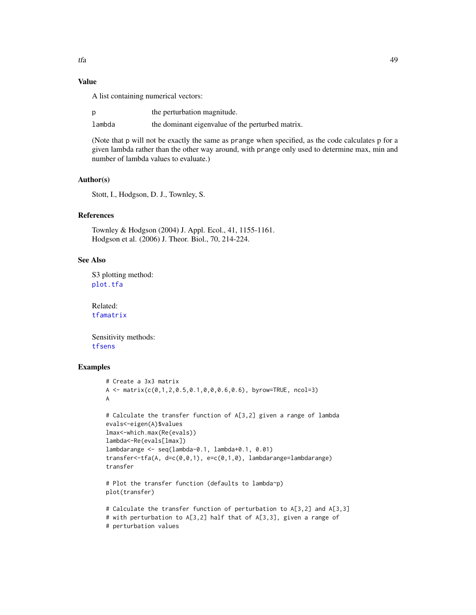# <span id="page-48-0"></span>Value

A list containing numerical vectors:

|        | the perturbation magnitude.                      |
|--------|--------------------------------------------------|
| lambda | the dominant eigenvalue of the perturbed matrix. |

(Note that p will not be exactly the same as prange when specified, as the code calculates p for a given lambda rather than the other way around, with prange only used to determine max, min and number of lambda values to evaluate.)

#### Author(s)

Stott, I., Hodgson, D. J., Townley, S.

#### References

Townley & Hodgson (2004) J. Appl. Ecol., 41, 1155-1161. Hodgson et al. (2006) J. Theor. Biol., 70, 214-224.

# See Also

S3 plotting method: [plot.tfa](#page-0-0)

Related: [tfamatrix](#page-49-1)

Sensitivity methods: [tfsens](#page-51-1)

# Examples

```
# Create a 3x3 matrix
A \leq matrix(c(0,1,2,0.5,0.1,0,0,0.6,0.6), byrow=TRUE, ncol=3)
A
# Calculate the transfer function of A[3,2] given a range of lambda
evals<-eigen(A)$values
lmax<-which.max(Re(evals))
lambda<-Re(evals[lmax])
lambdarange <- seq(lambda-0.1, lambda+0.1, 0.01)
transfer<-tfa(A, d=c(0,0,1), e=c(0,1,0), lambdarange=lambdarange)
transfer
# Plot the transfer function (defaults to lambda~p)
plot(transfer)
# Calculate the transfer function of perturbation to A[3,2] and A[3,3]
# with perturbation to A[3,2] half that of A[3,3], given a range of
# perturbation values
```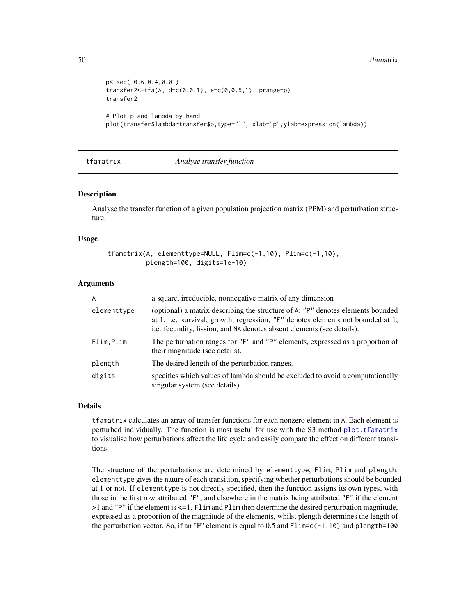```
p<-seq(-0.6,0.4,0.01)
transfer2 < -tfa(A, d=c(0, 0, 1), e=c(0, 0.5, 1), prange=p)transfer2
# Plot p and lambda by hand
plot(transfer$lambda~transfer$p,type="l", xlab="p",ylab=expression(lambda))
```
#### tfamatrix *Analyse transfer function*

#### **Description**

Analyse the transfer function of a given population projection matrix (PPM) and perturbation structure.

# Usage

```
tfamatrix(A, elementtype=NULL, Flim=c(-1,10), Plim=c(-1,10),
          plength=100, digits=1e-10)
```
#### Arguments

| $\overline{A}$ | a square, irreducible, nonnegative matrix of any dimension                                                                                                                                                                                   |
|----------------|----------------------------------------------------------------------------------------------------------------------------------------------------------------------------------------------------------------------------------------------|
| elementtype    | (optional) a matrix describing the structure of A: "P" denotes elements bounded<br>at 1, i.e. survival, growth, regression, "F" denotes elements not bounded at 1,<br>i.e. fecundity, fission, and NA denotes absent elements (see details). |
| Flim,Plim      | The perturbation ranges for "F" and "P" elements, expressed as a proportion of<br>their magnitude (see details).                                                                                                                             |
| plength        | The desired length of the perturbation ranges.                                                                                                                                                                                               |
| digits         | specifies which values of lambda should be excluded to avoid a computationally<br>singular system (see details).                                                                                                                             |

#### Details

tfamatrix calculates an array of transfer functions for each nonzero element in A. Each element is perturbed individually. The function is most useful for use with the S3 method [plot.tfamatrix](#page-0-0) to visualise how perturbations affect the life cycle and easily compare the effect on different transitions.

The structure of the perturbations are determined by elementtype, Flim, Plim and plength. elementtype gives the nature of each transition, specifying whether perturbations should be bounded at 1 or not. If elementtype is not directly specified, then the function assigns its own types, with those in the first row attributed "F", and elsewhere in the matrix being attributed "F" if the element >1 and "P" if the element is <=1. Flim and Plim then determine the desired perturbation magnitude, expressed as a proportion of the magnitude of the elements, whilst plength determines the length of the perturbation vector. So, if an "F" element is equal to 0.5 and  $\text{Elim} = c(-1,10)$  and plength=100

<span id="page-49-0"></span>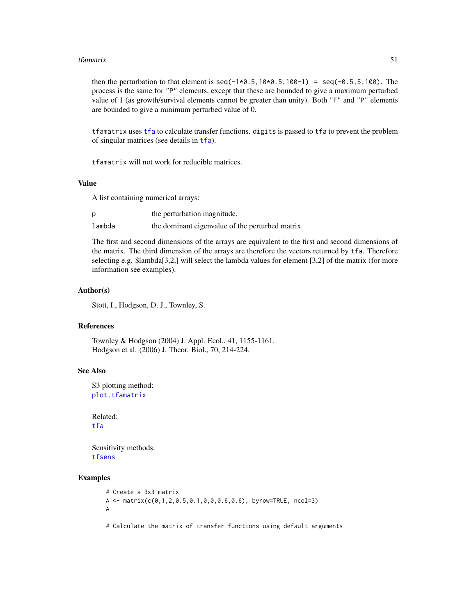#### <span id="page-50-0"></span>tfamatrix 51

then the perturbation to that element is  $seq(-1*0.5, 10*0.5, 100-1) = seq(-0.5, 5, 100)$ . The process is the same for "P" elements, except that these are bounded to give a maximum perturbed value of 1 (as growth/survival elements cannot be greater than unity). Both "F" and "P" elements are bounded to give a minimum perturbed value of 0.

tfamatrix uses [tfa](#page-46-1) to calculate transfer functions. digits is passed to tfa to prevent the problem of singular matrices (see details in [tfa](#page-46-1)).

tfamatrix will not work for reducible matrices.

# Value

A list containing numerical arrays:

|        | the perturbation magnitude.                      |
|--------|--------------------------------------------------|
| lambda | the dominant eigenvalue of the perturbed matrix. |

The first and second dimensions of the arrays are equivalent to the first and second dimensions of the matrix. The third dimension of the arrays are therefore the vectors returned by tfa. Therefore selecting e.g. \$lambda[3,2,] will select the lambda values for element [3,2] of the matrix (for more information see examples).

# Author(s)

Stott, I., Hodgson, D. J., Townley, S.

# References

Townley & Hodgson (2004) J. Appl. Ecol., 41, 1155-1161. Hodgson et al. (2006) J. Theor. Biol., 70, 214-224.

#### See Also

S3 plotting method: [plot.tfamatrix](#page-0-0)

Related: [tfa](#page-46-1)

Sensitivity methods: [tfsens](#page-51-1)

# Examples

```
# Create a 3x3 matrix
A \leq matrix(c(0,1,2,0.5,0.1,0,0,0.6,0.6), byrow=TRUE, ncol=3)
A
```
# Calculate the matrix of transfer functions using default arguments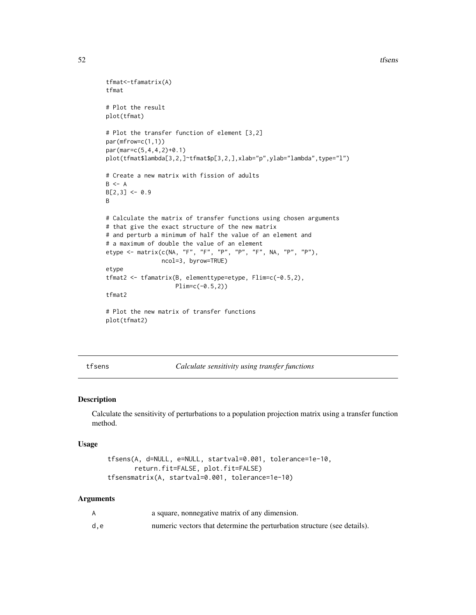```
tfmat<-tfamatrix(A)
tfmat
# Plot the result
plot(tfmat)
# Plot the transfer function of element [3,2]
par(mfrow=c(1,1))
par(mar=c(5,4,4,2)+0.1)
plot(tfmat$lambda[3,2,]~tfmat$p[3,2,],xlab="p",ylab="lambda",type="l")
# Create a new matrix with fission of adults
B \le -AB[2,3] < -0.9B
# Calculate the matrix of transfer functions using chosen arguments
# that give the exact structure of the new matrix
# and perturb a minimum of half the value of an element and
# a maximum of double the value of an element
etype <- matrix(c(NA, "F", "F", "P", "P", "F", NA, "P", "P"),
                ncol=3, byrow=TRUE)
etype
tfmat2 <- tfamatrix(B, elementtype=etype, Flim=c(-0.5,2),
                    Plim=c(-0.5,2))
tfmat2
# Plot the new matrix of transfer functions
plot(tfmat2)
```
<span id="page-51-1"></span>tfsens *Calculate sensitivity using transfer functions*

#### Description

Calculate the sensitivity of perturbations to a population projection matrix using a transfer function method.

#### Usage

```
tfsens(A, d=NULL, e=NULL, startval=0.001, tolerance=1e-10,
       return.fit=FALSE, plot.fit=FALSE)
tfsensmatrix(A, startval=0.001, tolerance=1e-10)
```
# **Arguments**

|     | a square, nonnegative matrix of any dimension.                           |
|-----|--------------------------------------------------------------------------|
| d.e | numeric vectors that determine the perturbation structure (see details). |

<span id="page-51-0"></span>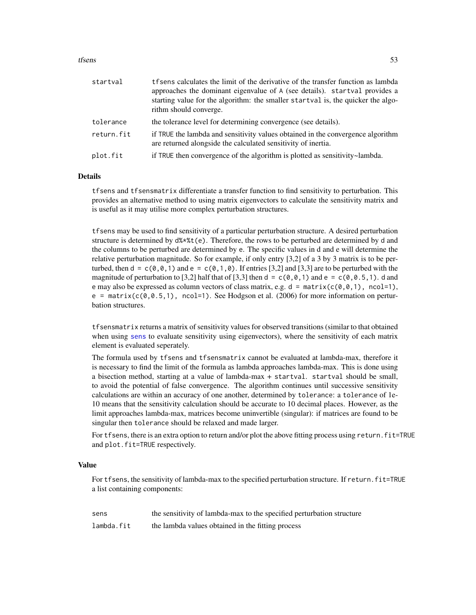#### <span id="page-52-0"></span>tfsens 53

| startval   | t f sens calculates the limit of the derivative of the transfer function as lambda<br>approaches the dominant eigenvalue of A (see details). startval provides a<br>starting value for the algorithm: the smaller startval is, the quicker the algo-<br>rithm should converge. |
|------------|--------------------------------------------------------------------------------------------------------------------------------------------------------------------------------------------------------------------------------------------------------------------------------|
| tolerance  | the tolerance level for determining convergence (see details).                                                                                                                                                                                                                 |
| return.fit | if TRUE the lambda and sensitivity values obtained in the convergence algorithm<br>are returned alongside the calculated sensitivity of inertia.                                                                                                                               |
| plot.fit   | if TRUE then convergence of the algorithm is plotted as sensitivity~lambda.                                                                                                                                                                                                    |

#### Details

tfsens and tfsensmatrix differentiate a transfer function to find sensitivity to perturbation. This provides an alternative method to using matrix eigenvectors to calculate the sensitivity matrix and is useful as it may utilise more complex perturbation structures.

tfsens may be used to find sensitivity of a particular perturbation structure. A desired perturbation structure is determined by  $d$ \*\* $t(e)$ . Therefore, the rows to be perturbed are determined by d and the columns to be perturbed are determined by e. The specific values in d and e will determine the relative perturbation magnitude. So for example, if only entry [3,2] of a 3 by 3 matrix is to be perturbed, then  $d = c(0,0,1)$  and  $e = c(0,1,0)$ . If entries [3,2] and [3,3] are to be perturbed with the magnitude of perturbation to [3,2] half that of [3,3] then  $d = c(0,0,1)$  and  $e = c(0,0.5,1)$ . d and e may also be expressed as column vectors of class matrix, e.g.  $d = \text{matrix}(c(0,0,1), \text{ncol=1}),$  $e = \text{matrix}(c(0, 0.5, 1))$ , ncol=1). See Hodgson et al. (2006) for more information on perturbation structures.

tfsensmatrix returns a matrix of sensitivity values for observed transitions (similar to that obtained when using [sens](#page-43-1) to evaluate sensitivity using eigenvectors), where the sensitivity of each matrix element is evaluated seperately.

The formula used by tfsens and tfsensmatrix cannot be evaluated at lambda-max, therefore it is necessary to find the limit of the formula as lambda approaches lambda-max. This is done using a bisection method, starting at a value of lambda-max + startval. startval should be small, to avoid the potential of false convergence. The algorithm continues until successive sensitivity calculations are within an accuracy of one another, determined by tolerance: a tolerance of 1e-10 means that the sensitivity calculation should be accurate to 10 decimal places. However, as the limit approaches lambda-max, matrices become uninvertible (singular): if matrices are found to be singular then tolerance should be relaxed and made larger.

For tfsens, there is an extra option to return and/or plot the above fitting process using return. fit=TRUE and plot. fit=TRUE respectively.

#### Value

For tfsens, the sensitivity of lambda-max to the specified perturbation structure. If return.fit=TRUE a list containing components:

| sens       | the sensitivity of lambda-max to the specified perturbation structure |
|------------|-----------------------------------------------------------------------|
| lambda.fit | the lambda values obtained in the fitting process                     |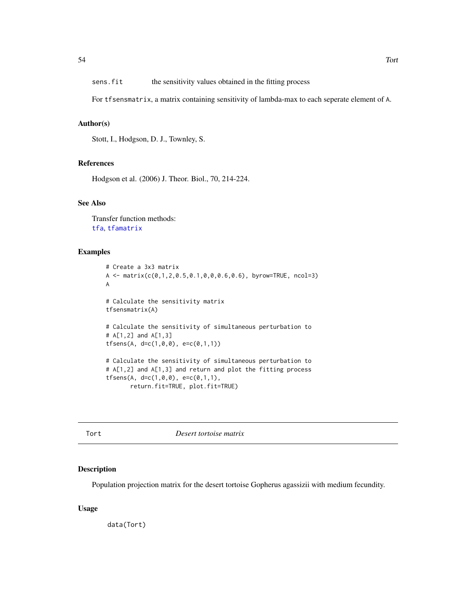<span id="page-53-0"></span>For tfsensmatrix, a matrix containing sensitivity of lambda-max to each seperate element of A.

# Author(s)

Stott, I., Hodgson, D. J., Townley, S.

#### References

Hodgson et al. (2006) J. Theor. Biol., 70, 214-224.

# See Also

Transfer function methods: [tfa](#page-46-1), [tfamatrix](#page-49-1)

# Examples

```
# Create a 3x3 matrix
A <- matrix(c(0,1,2,0.5,0.1,0,0,0.6,0.6), byrow=TRUE, ncol=3)
A
# Calculate the sensitivity matrix
tfsensmatrix(A)
# Calculate the sensitivity of simultaneous perturbation to
# A[1,2] and A[1,3]
tfsens(A, d=c(1,0,0), e=c(0,1,1))
# Calculate the sensitivity of simultaneous perturbation to
# A[1,2] and A[1,3] and return and plot the fitting process
tfsens(A, d=c(1, 0, 0), e=c(0, 1, 1),return.fit=TRUE, plot.fit=TRUE)
```
Tort *Desert tortoise matrix*

# Description

Population projection matrix for the desert tortoise Gopherus agassizii with medium fecundity.

# Usage

data(Tort)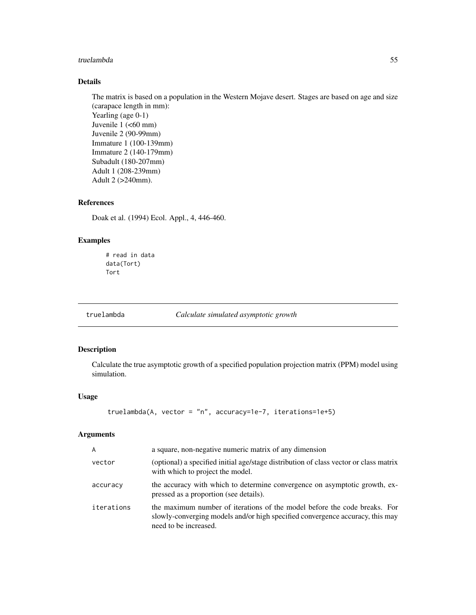#### <span id="page-54-0"></span>truelambda 55

# Details

The matrix is based on a population in the Western Mojave desert. Stages are based on age and size (carapace length in mm): Yearling (age 0-1) Juvenile  $1$  (<60 mm) Juvenile 2 (90-99mm) Immature 1 (100-139mm) Immature 2 (140-179mm) Subadult (180-207mm) Adult 1 (208-239mm) Adult 2 (>240mm).

# References

Doak et al. (1994) Ecol. Appl., 4, 446-460.

# Examples

```
# read in data
data(Tort)
Tort
```
truelambda *Calculate simulated asymptotic growth*

# Description

Calculate the true asymptotic growth of a specified population projection matrix (PPM) model using simulation.

# Usage

```
truelambda(A, vector = "n", accuracy=1e-7, iterations=1e+5)
```
#### Arguments

| $\overline{A}$ | a square, non-negative numeric matrix of any dimension                                                                                                                              |
|----------------|-------------------------------------------------------------------------------------------------------------------------------------------------------------------------------------|
| vector         | (optional) a specified initial age/stage distribution of class vector or class matrix<br>with which to project the model.                                                           |
| accuracy       | the accuracy with which to determine convergence on asymptotic growth, ex-<br>pressed as a proportion (see details).                                                                |
| iterations     | the maximum number of iterations of the model before the code breaks. For<br>slowly-converging models and/or high specified convergence accuracy, this may<br>need to be increased. |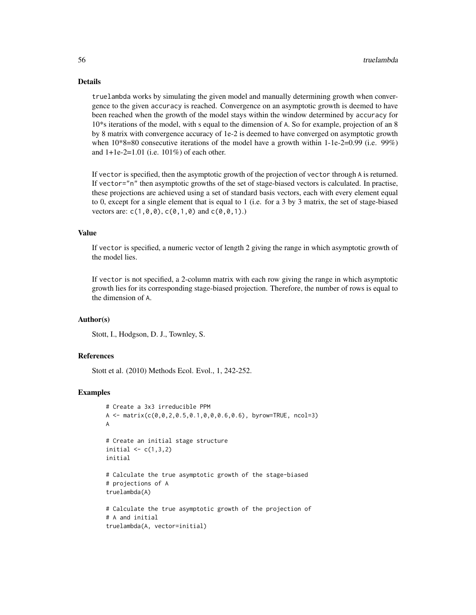# Details

truelambda works by simulating the given model and manually determining growth when convergence to the given accuracy is reached. Convergence on an asymptotic growth is deemed to have been reached when the growth of the model stays within the window determined by accuracy for 10\*s iterations of the model, with s equal to the dimension of A. So for example, projection of an 8 by 8 matrix with convergence accuracy of 1e-2 is deemed to have converged on asymptotic growth when  $10*8=80$  consecutive iterations of the model have a growth within 1-1e-2=0.99 (i.e. 99%) and 1+1e-2=1.01 (i.e. 101%) of each other.

If vector is specified, then the asymptotic growth of the projection of vector through A is returned. If vector="n" then asymptotic growths of the set of stage-biased vectors is calculated. In practise, these projections are achieved using a set of standard basis vectors, each with every element equal to 0, except for a single element that is equal to 1 (i.e. for a 3 by 3 matrix, the set of stage-biased vectors are:  $c(1, 0, 0)$ ,  $c(0, 1, 0)$  and  $c(0, 0, 1)$ .)

#### Value

If vector is specified, a numeric vector of length 2 giving the range in which asymptotic growth of the model lies.

If vector is not specified, a 2-column matrix with each row giving the range in which asymptotic growth lies for its corresponding stage-biased projection. Therefore, the number of rows is equal to the dimension of A.

#### Author(s)

Stott, I., Hodgson, D. J., Townley, S.

#### References

Stott et al. (2010) Methods Ecol. Evol., 1, 242-252.

# Examples

```
# Create a 3x3 irreducible PPM
A \leq matrix(c(0,0,2,0.5,0.1,0,0,0.6,0.6), byrow=TRUE, ncol=3)
A
# Create an initial stage structure
initial \leq c(1,3,2)initial
# Calculate the true asymptotic growth of the stage-biased
# projections of A
truelambda(A)
# Calculate the true asymptotic growth of the projection of
# A and initial
truelambda(A, vector=initial)
```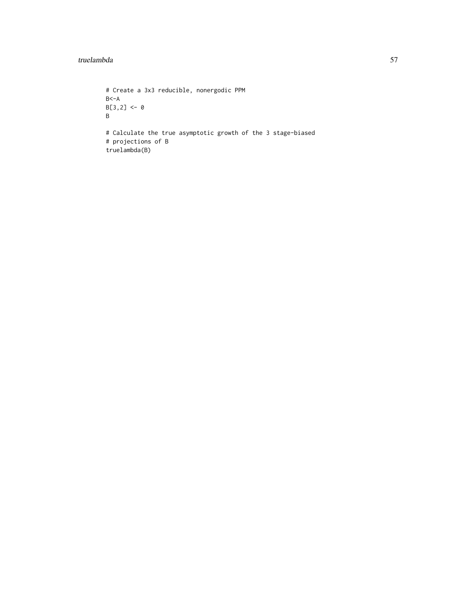#### truelambda 57

```
# Create a 3x3 reducible, nonergodic PPM
B < -AB[3,2] < -0B
# Calculate the true asymptotic growth of the 3 stage-biased
# projections of B
truelambda(B)
```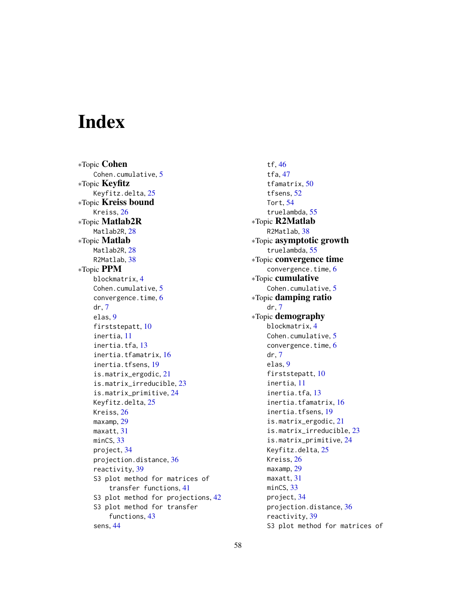# <span id="page-57-0"></span>Index

∗Topic Cohen Cohen.cumulative, [5](#page-4-0) ∗Topic Keyfitz Keyfitz.delta, [25](#page-24-0) ∗Topic Kreiss bound Kreiss, [26](#page-25-0) ∗Topic Matlab2R Matlab<sub>2R</sub>, [28](#page-27-0) ∗Topic Matlab Matlab2R, [28](#page-27-0) R2Matlab, [38](#page-37-0) ∗Topic PPM blockmatrix, [4](#page-3-0) Cohen.cumulative, [5](#page-4-0) convergence.time, [6](#page-5-0) dr, [7](#page-6-0) elas, [9](#page-8-0) firststepatt, [10](#page-9-0) inertia, [11](#page-10-0) inertia.tfa, [13](#page-12-0) inertia.tfamatrix, [16](#page-15-0) inertia.tfsens, [19](#page-18-0) is.matrix\_ergodic, [21](#page-20-0) is.matrix\_irreducible, [23](#page-22-0) is.matrix\_primitive, [24](#page-23-0) Keyfitz.delta, [25](#page-24-0) Kreiss, [26](#page-25-0) maxamp, [29](#page-28-0) maxatt, [31](#page-30-0) minCS, [33](#page-32-0) project, [34](#page-33-0) projection.distance, [36](#page-35-0) reactivity, [39](#page-38-0) S3 plot method for matrices of transfer functions, [41](#page-40-0) S3 plot method for projections, [42](#page-41-0) S3 plot method for transfer functions, [43](#page-42-0) sens, [44](#page-43-0)

tf, [46](#page-45-0) tfa, [47](#page-46-0) tfamatrix, [50](#page-49-0) tfsens, [52](#page-51-0) Tort, [54](#page-53-0) truelambda, [55](#page-54-0) ∗Topic R2Matlab R2Matlab, [38](#page-37-0) ∗Topic asymptotic growth truelambda, [55](#page-54-0) ∗Topic convergence time convergence.time, [6](#page-5-0) ∗Topic cumulative Cohen.cumulative, [5](#page-4-0) ∗Topic damping ratio dr, [7](#page-6-0) ∗Topic demography blockmatrix, [4](#page-3-0) Cohen.cumulative, [5](#page-4-0) convergence.time, [6](#page-5-0) dr, [7](#page-6-0) elas, [9](#page-8-0) firststepatt, [10](#page-9-0) inertia, [11](#page-10-0) inertia.tfa, [13](#page-12-0) inertia.tfamatrix, [16](#page-15-0) inertia.tfsens, [19](#page-18-0) is.matrix\_ergodic, [21](#page-20-0) is.matrix\_irreducible, [23](#page-22-0) is.matrix\_primitive, [24](#page-23-0) Keyfitz.delta, [25](#page-24-0) Kreiss, [26](#page-25-0) maxamp, [29](#page-28-0) maxatt, [31](#page-30-0) minCS, [33](#page-32-0) project, [34](#page-33-0) projection.distance, [36](#page-35-0) reactivity, [39](#page-38-0) S3 plot method for matrices of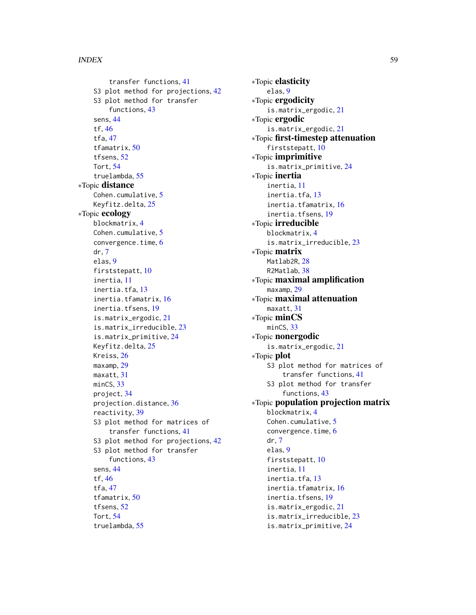transfer functions, [41](#page-40-0) S3 plot method for projections, [42](#page-41-0) S3 plot method for transfer functions, [43](#page-42-0) sens, [44](#page-43-0) tf, [46](#page-45-0) tfa, [47](#page-46-0) tfamatrix, [50](#page-49-0) tfsens, [52](#page-51-0) Tort, [54](#page-53-0) truelambda, [55](#page-54-0) ∗Topic distance Cohen.cumulative, [5](#page-4-0) Keyfitz.delta, [25](#page-24-0) ∗Topic ecology blockmatrix, [4](#page-3-0) Cohen.cumulative, [5](#page-4-0) convergence.time, [6](#page-5-0) dr, [7](#page-6-0) elas, [9](#page-8-0) firststepatt, [10](#page-9-0) inertia, [11](#page-10-0) inertia.tfa, [13](#page-12-0) inertia.tfamatrix, [16](#page-15-0) inertia.tfsens, [19](#page-18-0) is.matrix\_ergodic, [21](#page-20-0) is.matrix\_irreducible, [23](#page-22-0) is.matrix\_primitive, [24](#page-23-0) Keyfitz.delta, [25](#page-24-0) Kreiss, [26](#page-25-0) maxamp, [29](#page-28-0) maxatt, [31](#page-30-0) minCS, [33](#page-32-0) project, [34](#page-33-0) projection.distance, [36](#page-35-0) reactivity, [39](#page-38-0) S3 plot method for matrices of transfer functions, [41](#page-40-0) S3 plot method for projections, [42](#page-41-0) S3 plot method for transfer functions, [43](#page-42-0) sens, [44](#page-43-0) tf, [46](#page-45-0) tfa, [47](#page-46-0) tfamatrix, [50](#page-49-0) tfsens, [52](#page-51-0) Tort, [54](#page-53-0) truelambda, [55](#page-54-0)

∗Topic elasticity elas, [9](#page-8-0) ∗Topic ergodicity is.matrix\_ergodic, [21](#page-20-0) ∗Topic ergodic is.matrix\_ergodic, [21](#page-20-0) ∗Topic first-timestep attenuation firststepatt, [10](#page-9-0) ∗Topic imprimitive is.matrix\_primitive, [24](#page-23-0) ∗Topic inertia inertia, [11](#page-10-0) inertia.tfa, [13](#page-12-0) inertia.tfamatrix, [16](#page-15-0) inertia.tfsens, [19](#page-18-0) ∗Topic irreducible blockmatrix, [4](#page-3-0) is.matrix\_irreducible, [23](#page-22-0) ∗Topic matrix Matlab2R, [28](#page-27-0) R2Matlab, [38](#page-37-0) ∗Topic maximal amplification maxamp, [29](#page-28-0) ∗Topic maximal attenuation maxatt, [31](#page-30-0) ∗Topic minCS minCS, [33](#page-32-0) ∗Topic nonergodic is.matrix\_ergodic, [21](#page-20-0) ∗Topic plot S3 plot method for matrices of transfer functions, [41](#page-40-0) S3 plot method for transfer functions, [43](#page-42-0) ∗Topic population projection matrix blockmatrix, [4](#page-3-0) Cohen.cumulative, [5](#page-4-0) convergence.time, [6](#page-5-0) dr, [7](#page-6-0) elas, [9](#page-8-0) firststepatt, [10](#page-9-0) inertia, [11](#page-10-0) inertia.tfa, [13](#page-12-0) inertia.tfamatrix, [16](#page-15-0) inertia.tfsens, [19](#page-18-0) is.matrix\_ergodic, [21](#page-20-0) is.matrix\_irreducible, [23](#page-22-0) is.matrix\_primitive, [24](#page-23-0)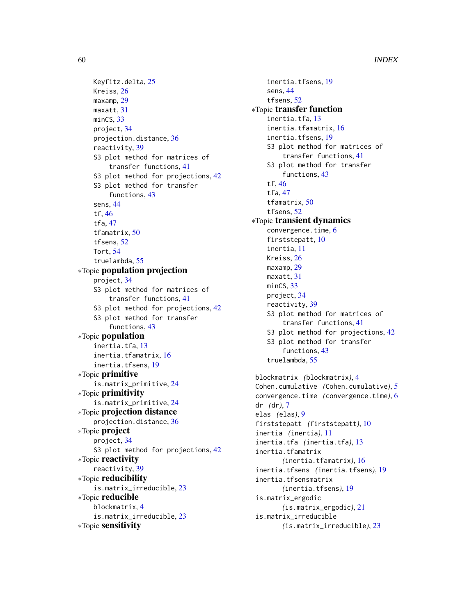```
Keyfitz.delta, 25
    Kreiss, 26
    maxamp, 29
    maxatt, 31
    33
    project, 34
    projection.distance, 36
    reactivity, 39
    S3 plot method for matrices of
        transfer functions, 41
    S3 plot method for projections, 42
    S3 plot method for transfer
        functions, 43
    sens, 44
    tf, 46
    tfa, 47
    tfamatrix, 50
    tfsens, 52
    Tort, 54
    truelambda, 55
∗Topic population projection
    project, 34
    S3 plot method for matrices of
        transfer functions, 41
    S3 plot method for projections, 42
    S3 plot method for transfer
        functions, 43
∗Topic population
    inertia.tfa, 13
    inertia.tfamatrix, 16
    inertia.tfsens, 19
∗Topic primitive
    is.matrix_primitive, 24
∗Topic primitivity
    is.matrix_primitive, 24
∗Topic projection distance
    projection.distance, 36
∗Topic project
    project, 34
    S3 plot method for projections, 42
∗Topic reactivity
    reactivity, 39
∗Topic reducibility
    is.matrix_irreducible, 23
∗Topic reducible
    blockmatrix, 4
    is.matrix_irreducible, 23
∗Topic sensitivity
```
inertia.tfsens, [19](#page-18-0) sens, [44](#page-43-0) tfsens, [52](#page-51-0) ∗Topic transfer function inertia.tfa, [13](#page-12-0) inertia.tfamatrix, [16](#page-15-0) inertia.tfsens, [19](#page-18-0) S3 plot method for matrices of transfer functions, [41](#page-40-0) S3 plot method for transfer functions, [43](#page-42-0) tf, [46](#page-45-0) tfa, [47](#page-46-0) tfamatrix, [50](#page-49-0) tfsens, [52](#page-51-0) ∗Topic transient dynamics convergence.time, [6](#page-5-0) firststepatt, [10](#page-9-0) inertia, [11](#page-10-0) Kreiss, [26](#page-25-0) maxamp, [29](#page-28-0) maxatt, [31](#page-30-0) minCS, [33](#page-32-0) project, [34](#page-33-0) reactivity, [39](#page-38-0) S3 plot method for matrices of transfer functions, [41](#page-40-0) S3 plot method for projections, [42](#page-41-0) S3 plot method for transfer functions, [43](#page-42-0) truelambda, [55](#page-54-0) blockmatrix *(*blockmatrix*)*, [4](#page-3-0)

```
Cohen.cumulative (Cohen.cumulative), 5
convergence.time (convergence.time), 6
dr (dr), 7
elas (elas), 9
firststepatt (firststepatt), 10
inertia (inertia), 11
inertia.tfa (inertia.tfa), 13
inertia.tfamatrix
       (inertia.tfamatrix), 16
inertia.tfsens (inertia.tfsens), 19
inertia.tfsensmatrix
       (inertia.tfsens), 19
is.matrix_ergodic
       (is.matrix_ergodic), 21
is.matrix_irreducible
       (is.matrix_irreducible), 23
```